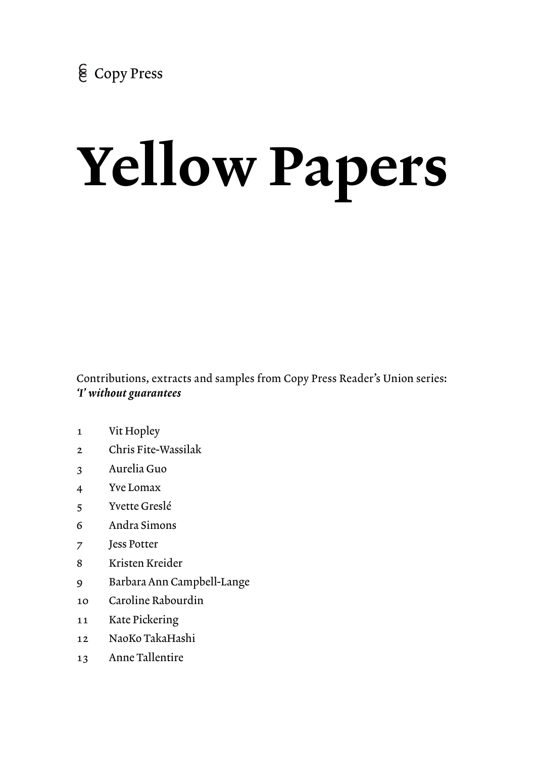# Yellow Papers

Contributions, extracts and samples from Copy Press Reader's Union series: *'I' without guarantees* 

- 1 Vit Hopley
- 2 Chris Fite-Wassilak
- 3 Aurelia Guo
- 4 Yve Lomax
- 5 Yvette Greslé
- 6 Andra Simons
- 7 Jess Potter
- 8 Kristen Kreider
- 9 Barbara Ann Campbell-Lange
- 10 Caroline Rabourdin
- 11 Kate Pickering
- 12 NaoKo TakaHashi
- 13 Anne Tallentire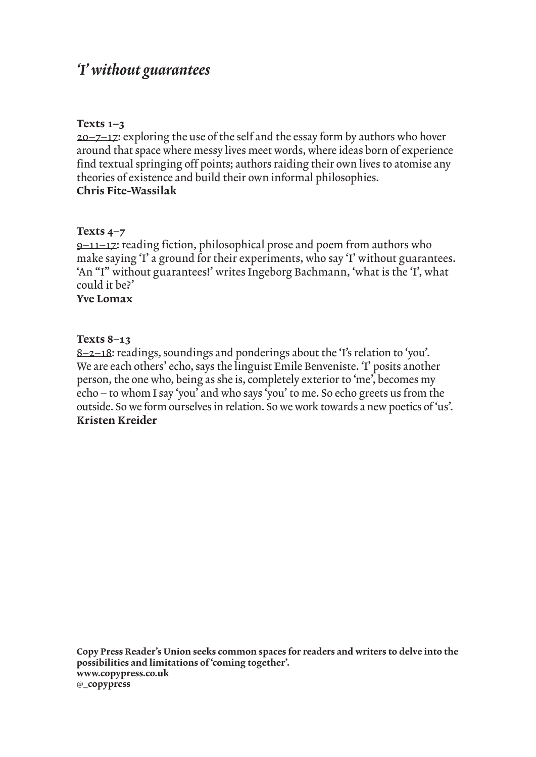# *'I' without guarantees*

# Texts 1–3

 $20 - 7 - 17$ : exploring the use of the self and the essay form by authors who hover around that space where messy lives meet words, where ideas born of experience find textual springing off points; authors raiding their own lives to atomise any theories of existence and build their own informal philosophies. Chris Fite-Wassilak

# Texts 4–7

9–11–17: reading fiction, philosophical prose and poem from authors who make saying 'I' a ground for their experiments, who say 'I' without guarantees. 'An "I" without guarantees!' writes Ingeborg Bachmann, 'what is the 'I', what could it be?' Yve Lomax

# Texts 8–13

8–2–18: readings, soundings and ponderings about the 'I's relation to 'you'. We are each others' echo, says the linguist Emile Benveniste. 'I' posits another person, the one who, being as she is, completely exterior to 'me', becomes my echo – to whom I say 'you' and who says 'you' to me. So echo greets us from the outside. So we form ourselves in relation. So we work towards a new poetics of 'us'. Kristen Kreider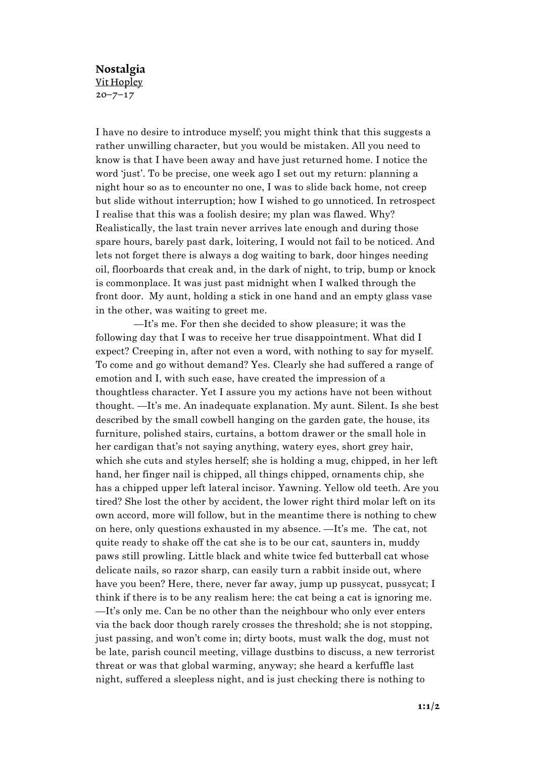## Nostalgia Vit Hopley  $20 - 7 - 17$

I have no desire to introduce myself; you might think that this suggests a rather unwilling character, but you would be mistaken. All you need to know is that I have been away and have just returned home. I notice the word 'just'. To be precise, one week ago I set out my return: planning a night hour so as to encounter no one, I was to slide back home, not creep but slide without interruption; how I wished to go unnoticed. In retrospect I realise that this was a foolish desire; my plan was flawed. Why? Realistically, the last train never arrives late enough and during those spare hours, barely past dark, loitering, I would not fail to be noticed. And lets not forget there is always a dog waiting to bark, door hinges needing oil, floorboards that creak and, in the dark of night, to trip, bump or knock is commonplace. It was just past midnight when I walked through the front door. My aunt, holding a stick in one hand and an empty glass vase in the other, was waiting to greet me.

—It's me. For then she decided to show pleasure; it was the following day that I was to receive her true disappointment. What did I expect? Creeping in, after not even a word, with nothing to say for myself. To come and go without demand? Yes. Clearly she had suffered a range of emotion and I, with such ease, have created the impression of a thoughtless character. Yet I assure you my actions have not been without thought. —It's me. An inadequate explanation. My aunt. Silent. Is she best described by the small cowbell hanging on the garden gate, the house, its furniture, polished stairs, curtains, a bottom drawer or the small hole in her cardigan that's not saying anything, watery eyes, short grey hair, which she cuts and styles herself; she is holding a mug, chipped, in her left hand, her finger nail is chipped, all things chipped, ornaments chip, she has a chipped upper left lateral incisor. Yawning. Yellow old teeth. Are you tired? She lost the other by accident, the lower right third molar left on its own accord, more will follow, but in the meantime there is nothing to chew on here, only questions exhausted in my absence. —It's me. The cat, not quite ready to shake off the cat she is to be our cat, saunters in, muddy paws still prowling. Little black and white twice fed butterball cat whose delicate nails, so razor sharp, can easily turn a rabbit inside out, where have you been? Here, there, never far away, jump up pussycat, pussycat; I think if there is to be any realism here: the cat being a cat is ignoring me. —It's only me. Can be no other than the neighbour who only ever enters via the back door though rarely crosses the threshold; she is not stopping, just passing, and won't come in; dirty boots, must walk the dog, must not be late, parish council meeting, village dustbins to discuss, a new terrorist threat or was that global warming, anyway; she heard a kerfuffle last night, suffered a sleepless night, and is just checking there is nothing to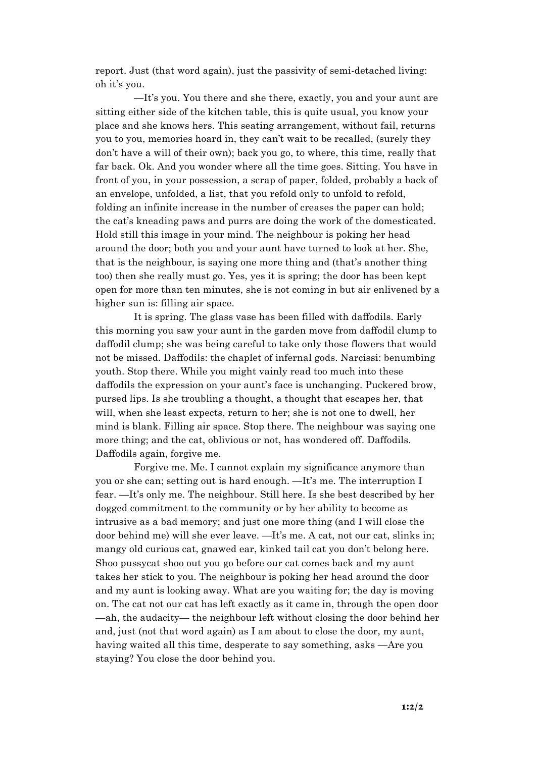report. Just (that word again), just the passivity of semi-detached living: oh it's you.

—It's you. You there and she there, exactly, you and your aunt are sitting either side of the kitchen table, this is quite usual, you know your place and she knows hers. This seating arrangement, without fail, returns you to you, memories hoard in, they can't wait to be recalled, (surely they don't have a will of their own); back you go, to where, this time, really that far back. Ok. And you wonder where all the time goes. Sitting. You have in front of you, in your possession, a scrap of paper, folded, probably a back of an envelope, unfolded, a list, that you refold only to unfold to refold, folding an infinite increase in the number of creases the paper can hold; the cat's kneading paws and purrs are doing the work of the domesticated. Hold still this image in your mind. The neighbour is poking her head around the door; both you and your aunt have turned to look at her. She, that is the neighbour, is saying one more thing and (that's another thing too) then she really must go. Yes, yes it is spring; the door has been kept open for more than ten minutes, she is not coming in but air enlivened by a higher sun is: filling air space.

It is spring. The glass vase has been filled with daffodils. Early this morning you saw your aunt in the garden move from daffodil clump to daffodil clump; she was being careful to take only those flowers that would not be missed. Daffodils: the chaplet of infernal gods. Narcissi: benumbing youth. Stop there. While you might vainly read too much into these daffodils the expression on your aunt's face is unchanging. Puckered brow, pursed lips. Is she troubling a thought, a thought that escapes her, that will, when she least expects, return to her; she is not one to dwell, her mind is blank. Filling air space. Stop there. The neighbour was saying one more thing; and the cat, oblivious or not, has wondered off. Daffodils. Daffodils again, forgive me.

Forgive me. Me. I cannot explain my significance anymore than you or she can; setting out is hard enough. —It's me. The interruption I fear. —It's only me. The neighbour. Still here. Is she best described by her dogged commitment to the community or by her ability to become as intrusive as a bad memory; and just one more thing (and I will close the door behind me) will she ever leave. —It's me. A cat, not our cat, slinks in; mangy old curious cat, gnawed ear, kinked tail cat you don't belong here. Shoo pussycat shoo out you go before our cat comes back and my aunt takes her stick to you. The neighbour is poking her head around the door and my aunt is looking away. What are you waiting for; the day is moving on. The cat not our cat has left exactly as it came in, through the open door —ah, the audacity— the neighbour left without closing the door behind her and, just (not that word again) as I am about to close the door, my aunt, having waited all this time, desperate to say something, asks —Are you staying? You close the door behind you.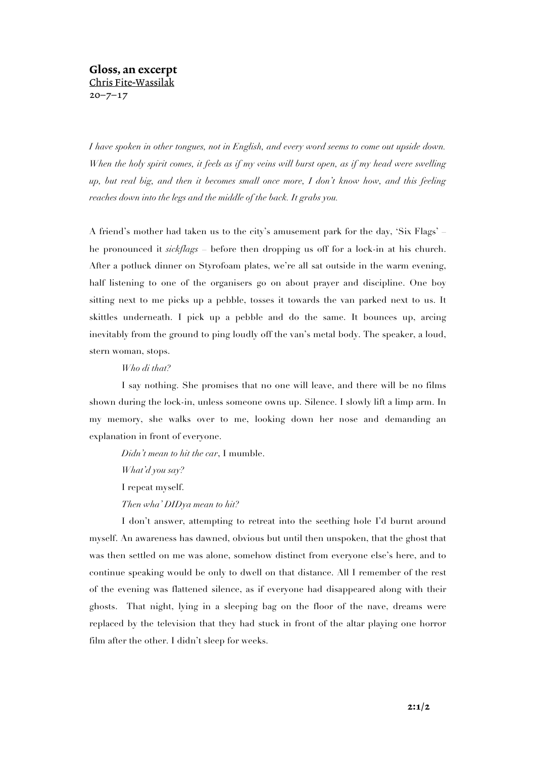# Gloss, an excerpt Chris Fite-Wassilak  $20 - 7 - 17$

*I have spoken in other tongues, not in English, and every word seems to come out upside down. When the holy spirit comes, it feels as if my veins will burst open, as if my head were swelling up, but real big, and then it becomes small once more, I don't know how, and this feeling reaches down into the legs and the middle of the back. It grabs you.*

A friend's mother had taken us to the city's amusement park for the day, 'Six Flags' – he pronounced it *sickflags* – before then dropping us off for a lock-in at his church. After a potluck dinner on Styrofoam plates, we're all sat outside in the warm evening, half listening to one of the organisers go on about prayer and discipline. One boy sitting next to me picks up a pebble, tosses it towards the van parked next to us. It skittles underneath. I pick up a pebble and do the same. It bounces up, arcing inevitably from the ground to ping loudly off the van's metal body. The speaker, a loud, stern woman, stops.

### *Who di that?*

I say nothing. She promises that no one will leave, and there will be no films shown during the lock-in, unless someone owns up. Silence. I slowly lift a limp arm. In my memory, she walks over to me, looking down her nose and demanding an explanation in front of everyone.

*Didn't mean to hit the car*, I mumble. *What'd you say?* I repeat myself. *Then wha' DIDya mean to hit?*

I don't answer, attempting to retreat into the seething hole I'd burnt around myself. An awareness has dawned, obvious but until then unspoken, that the ghost that was then settled on me was alone, somehow distinct from everyone else's here, and to continue speaking would be only to dwell on that distance. All I remember of the rest of the evening was flattened silence, as if everyone had disappeared along with their ghosts. That night, lying in a sleeping bag on the floor of the nave, dreams were replaced by the television that they had stuck in front of the altar playing one horror film after the other. I didn't sleep for weeks.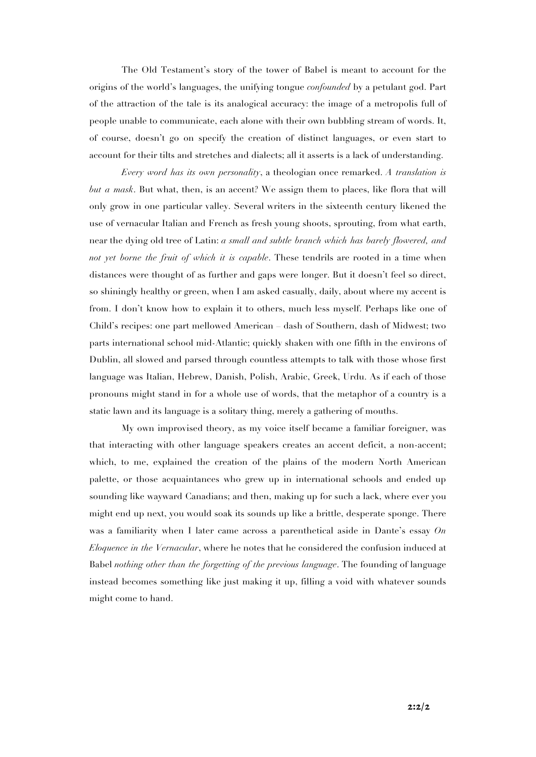The Old Testament's story of the tower of Babel is meant to account for the origins of the world's languages, the unifying tongue *confounded* by a petulant god. Part of the attraction of the tale is its analogical accuracy: the image of a metropolis full of people unable to communicate, each alone with their own bubbling stream of words. It, of course, doesn't go on specify the creation of distinct languages, or even start to account for their tilts and stretches and dialects; all it asserts is a lack of understanding.

*Every word has its own personality*, a theologian once remarked. *A translation is but a mask*. But what, then, is an accent? We assign them to places, like flora that will only grow in one particular valley. Several writers in the sixteenth century likened the use of vernacular Italian and French as fresh young shoots, sprouting, from what earth, near the dying old tree of Latin: *a small and subtle branch which has barely flowered, and not yet borne the fruit of which it is capable*. These tendrils are rooted in a time when distances were thought of as further and gaps were longer. But it doesn't feel so direct, so shiningly healthy or green, when I am asked casually, daily, about where my accent is from. I don't know how to explain it to others, much less myself. Perhaps like one of Child's recipes: one part mellowed American – dash of Southern, dash of Midwest; two parts international school mid-Atlantic; quickly shaken with one fifth in the environs of Dublin, all slowed and parsed through countless attempts to talk with those whose first language was Italian, Hebrew, Danish, Polish, Arabic, Greek, Urdu. As if each of those pronouns might stand in for a whole use of words, that the metaphor of a country is a static lawn and its language is a solitary thing, merely a gathering of mouths.

My own improvised theory, as my voice itself became a familiar foreigner, was that interacting with other language speakers creates an accent deficit, a non-accent; which, to me, explained the creation of the plains of the modern North American palette, or those acquaintances who grew up in international schools and ended up sounding like wayward Canadians; and then, making up for such a lack, where ever you might end up next, you would soak its sounds up like a brittle, desperate sponge. There was a familiarity when I later came across a parenthetical aside in Dante's essay *On Eloquence in the Vernacular*, where he notes that he considered the confusion induced at Babel *nothing other than the forgetting of the previous language*. The founding of language instead becomes something like just making it up, filling a void with whatever sounds might come to hand.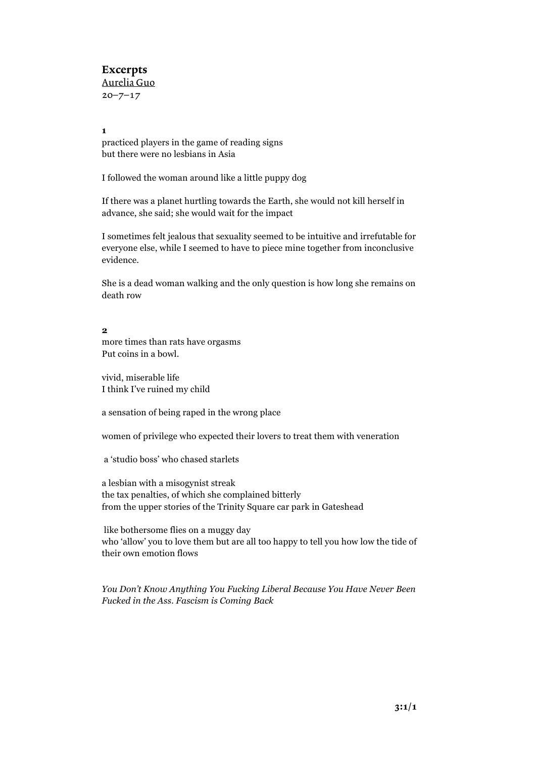## Excerpts Aurelia Guo  $20 - 7 - 17$

#### **1**

practiced players in the game of reading signs but there were no lesbians in Asia

I followed the woman around like a little puppy dog

If there was a planet hurtling towards the Earth, she would not kill herself in advance, she said; she would wait for the impact

I sometimes felt jealous that sexuality seemed to be intuitive and irrefutable for everyone else, while I seemed to have to piece mine together from inconclusive evidence.

She is a dead woman walking and the only question is how long she remains on death row

#### **2**

more times than rats have orgasms Put coins in a bowl.

vivid, miserable life I think I've ruined my child

a sensation of being raped in the wrong place

women of privilege who expected their lovers to treat them with veneration

a 'studio boss' who chased starlets

a lesbian with a misogynist streak the tax penalties, of which she complained bitterly from the upper stories of the Trinity Square car park in Gateshead

like bothersome flies on a muggy day who 'allow' you to love them but are all too happy to tell you how low the tide of their own emotion flows

*You Don't Know Anything You Fucking Liberal Because You Have Never Been Fucked in the Ass. Fascism is Coming Back*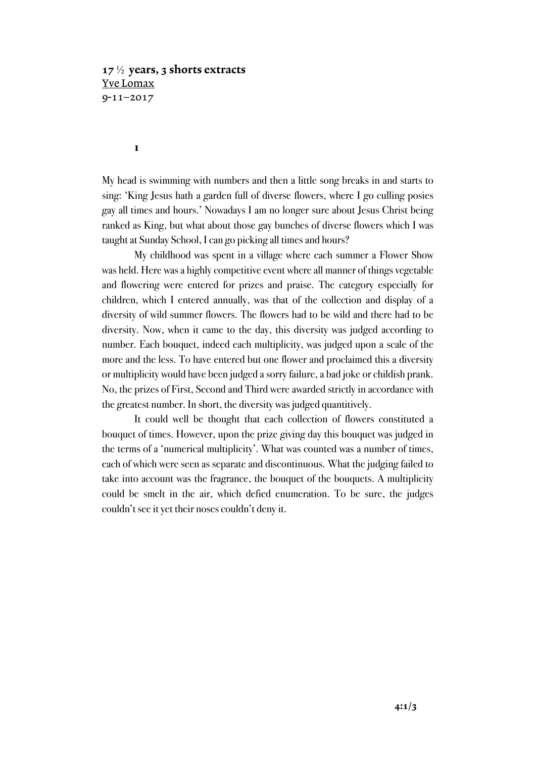# $17\frac{1}{2}$  years, 3 shorts extracts Yve Lomax 9-11–2017

**1**

My head is swimming with numbers and then a little song breaks in and starts to sing: 'King Jesus hath a garden full of diverse flowers, where I go culling posies gay all times and hours.' Nowadays I am no longer sure about Jesus Christ being ranked as King, but what about those gay bunches of diverse flowers which I was taught at Sunday School, I can go picking all times and hours?

My childhood was spent in a village where each summer a Flower Show was held. Here was a highly competitive event where all manner of things vegetable and flowering were entered for prizes and praise. The category especially for children, which I entered annually, was that of the collection and display of a diversity of wild summer flowers. The flowers had to be wild and there had to be diversity. Now, when it came to the day, this diversity was judged according to number. Each bouquet, indeed each multiplicity, was judged upon a scale of the more and the less. To have entered but one flower and proclaimed this a diversity or multiplicity would have been judged a sorry failure, a bad joke or childish prank. No, the prizes of First, Second and Third were awarded strictly in accordance with the greatest number. In short, the diversity was judged quantitively.

It could well be thought that each collection of flowers constituted a bouquet of times. However, upon the prize giving day this bouquet was judged in the terms of a 'numerical multiplicity'. What was counted was a number of times, each of which were seen as separate and discontinuous. What the judging failed to take into account was the fragrance, the bouquet of the bouquets. A multiplicity could be smelt in the air, which defied enumeration. To be sure, the judges couldn't see it yet their noses couldn't deny it.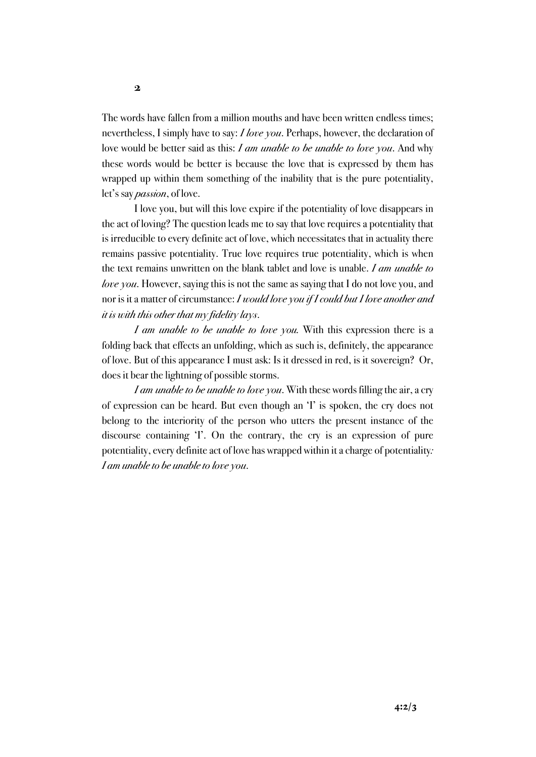The words have fallen from a million mouths and have been written endless times; nevertheless, I simply have to say: *I love you*. Perhaps, however, the declaration of love would be better said as this: *I am unable to be unable to love you*. And why these words would be better is because the love that is expressed by them has wrapped up within them something of the inability that is the pure potentiality, let's say *passion*, of love.

I love you, but will this love expire if the potentiality of love disappears in the act of loving? The question leads me to say that love requires a potentiality that is irreducible to every definite act of love, which necessitates that in actuality there remains passive potentiality. True love requires true potentiality, which is when the text remains unwritten on the blank tablet and love is unable. *I am unable to love you*. However, saying this is not the same as saying that I do not love you, and nor is it a matter of circumstance: *I would love you if I could but I love another and it is with this other that my fidelity lays*.

*I am unable to be unable to love you.* With this expression there is a folding back that effects an unfolding, which as such is, definitely, the appearance of love. But of this appearance I must ask: Is it dressed in red, is it sovereign? Or, does it bear the lightning of possible storms.

*I am unable to be unable to love you*. With these words filling the air, a cry of expression can be heard. But even though an 'I' is spoken, the cry does not belong to the interiority of the person who utters the present instance of the discourse containing 'I'. On the contrary, the cry is an expression of pure potentiality, every definite act of love has wrapped within it a charge of potentiality*: I am unable to be unable to love you*.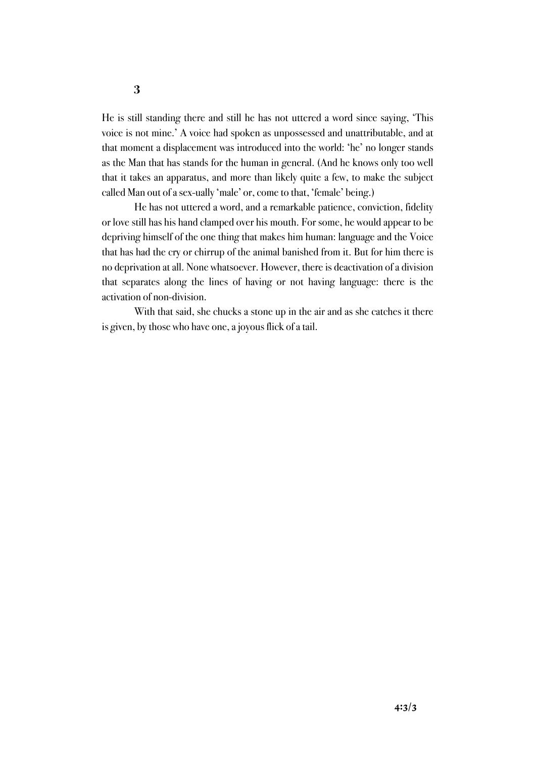He is still standing there and still he has not uttered a word since saying, 'This voice is not mine.' A voice had spoken as unpossessed and unattributable, and at that moment a displacement was introduced into the world: 'he' no longer stands as the Man that has stands for the human in general. (And he knows only too well that it takes an apparatus, and more than likely quite a few, to make the subject called Man out of a sex-ually 'male' or, come to that, 'female' being.)

He has not uttered a word, and a remarkable patience, conviction, fidelity or love still has his hand clamped over his mouth. For some, he would appear to be depriving himself of the one thing that makes him human: language and the Voice that has had the cry or chirrup of the animal banished from it. But for him there is no deprivation at all. None whatsoever. However, there is deactivation of a division that separates along the lines of having or not having language: there is the activation of non-division.

With that said, she chucks a stone up in the air and as she catches it there is given, by those who have one, a joyous flick of a tail.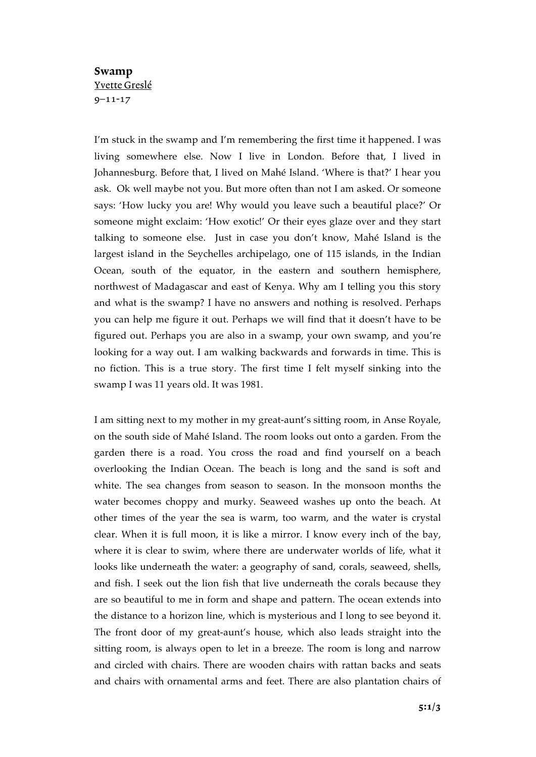# Swamp Yvette Greslé 9–11-17

I'm stuck in the swamp and I'm remembering the first time it happened. I was living somewhere else. Now I live in London. Before that, I lived in Johannesburg. Before that, I lived on Mahé Island. 'Where is that?' I hear you ask. Ok well maybe not you. But more often than not I am asked. Or someone says: 'How lucky you are! Why would you leave such a beautiful place?' Or someone might exclaim: 'How exotic!' Or their eyes glaze over and they start talking to someone else. Just in case you don't know, Mahé Island is the largest island in the Seychelles archipelago, one of 115 islands, in the Indian Ocean, south of the equator, in the eastern and southern hemisphere, northwest of Madagascar and east of Kenya. Why am I telling you this story and what is the swamp? I have no answers and nothing is resolved. Perhaps you can help me figure it out. Perhaps we will find that it doesn't have to be figured out. Perhaps you are also in a swamp, your own swamp, and you're looking for a way out. I am walking backwards and forwards in time. This is no fiction. This is a true story. The first time I felt myself sinking into the swamp I was 11 years old. It was 1981.

I am sitting next to my mother in my great-aunt's sitting room, in Anse Royale, on the south side of Mahé Island. The room looks out onto a garden. From the garden there is a road. You cross the road and find yourself on a beach overlooking the Indian Ocean. The beach is long and the sand is soft and white. The sea changes from season to season. In the monsoon months the water becomes choppy and murky. Seaweed washes up onto the beach. At other times of the year the sea is warm, too warm, and the water is crystal clear. When it is full moon, it is like a mirror. I know every inch of the bay, where it is clear to swim, where there are underwater worlds of life, what it looks like underneath the water: a geography of sand, corals, seaweed, shells, and fish. I seek out the lion fish that live underneath the corals because they are so beautiful to me in form and shape and pattern. The ocean extends into the distance to a horizon line, which is mysterious and I long to see beyond it. The front door of my great-aunt's house, which also leads straight into the sitting room, is always open to let in a breeze. The room is long and narrow and circled with chairs. There are wooden chairs with rattan backs and seats and chairs with ornamental arms and feet. There are also plantation chairs of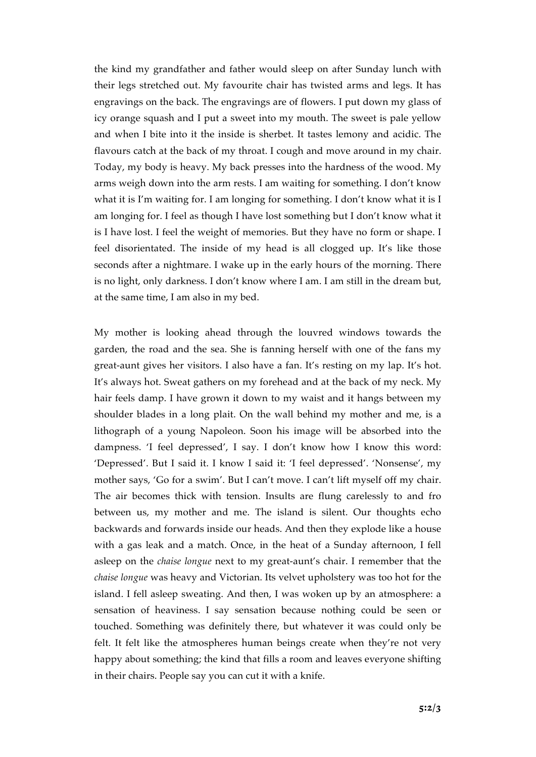the kind my grandfather and father would sleep on after Sunday lunch with their legs stretched out. My favourite chair has twisted arms and legs. It has engravings on the back. The engravings are of flowers. I put down my glass of icy orange squash and I put a sweet into my mouth. The sweet is pale yellow and when I bite into it the inside is sherbet. It tastes lemony and acidic. The flavours catch at the back of my throat. I cough and move around in my chair. Today, my body is heavy. My back presses into the hardness of the wood. My arms weigh down into the arm rests. I am waiting for something. I don't know what it is I'm waiting for. I am longing for something. I don't know what it is I am longing for. I feel as though I have lost something but I don't know what it is I have lost. I feel the weight of memories. But they have no form or shape. I feel disorientated. The inside of my head is all clogged up. It's like those seconds after a nightmare. I wake up in the early hours of the morning. There is no light, only darkness. I don't know where I am. I am still in the dream but, at the same time, I am also in my bed.

My mother is looking ahead through the louvred windows towards the garden, the road and the sea. She is fanning herself with one of the fans my great-aunt gives her visitors. I also have a fan. It's resting on my lap. It's hot. It's always hot. Sweat gathers on my forehead and at the back of my neck. My hair feels damp. I have grown it down to my waist and it hangs between my shoulder blades in a long plait. On the wall behind my mother and me, is a lithograph of a young Napoleon. Soon his image will be absorbed into the dampness. 'I feel depressed', I say. I don't know how I know this word: 'Depressed'. But I said it. I know I said it: 'I feel depressed'. 'Nonsense', my mother says, 'Go for a swim'. But I can't move. I can't lift myself off my chair. The air becomes thick with tension. Insults are flung carelessly to and fro between us, my mother and me. The island is silent. Our thoughts echo backwards and forwards inside our heads. And then they explode like a house with a gas leak and a match. Once, in the heat of a Sunday afternoon, I fell asleep on the *chaise longue* next to my great-aunt's chair. I remember that the *chaise longue* was heavy and Victorian. Its velvet upholstery was too hot for the island. I fell asleep sweating. And then, I was woken up by an atmosphere: a sensation of heaviness. I say sensation because nothing could be seen or touched. Something was definitely there, but whatever it was could only be felt. It felt like the atmospheres human beings create when they're not very happy about something; the kind that fills a room and leaves everyone shifting in their chairs. People say you can cut it with a knife.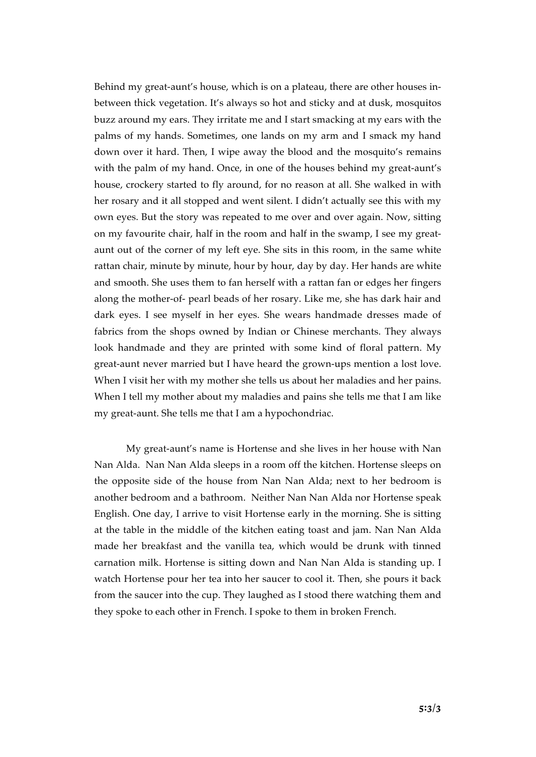Behind my great-aunt's house, which is on a plateau, there are other houses inbetween thick vegetation. It's always so hot and sticky and at dusk, mosquitos buzz around my ears. They irritate me and I start smacking at my ears with the palms of my hands. Sometimes, one lands on my arm and I smack my hand down over it hard. Then, I wipe away the blood and the mosquito's remains with the palm of my hand. Once, in one of the houses behind my great-aunt's house, crockery started to fly around, for no reason at all. She walked in with her rosary and it all stopped and went silent. I didn't actually see this with my own eyes. But the story was repeated to me over and over again. Now, sitting on my favourite chair, half in the room and half in the swamp, I see my greataunt out of the corner of my left eye. She sits in this room, in the same white rattan chair, minute by minute, hour by hour, day by day. Her hands are white and smooth. She uses them to fan herself with a rattan fan or edges her fingers along the mother-of- pearl beads of her rosary. Like me, she has dark hair and dark eyes. I see myself in her eyes. She wears handmade dresses made of fabrics from the shops owned by Indian or Chinese merchants. They always look handmade and they are printed with some kind of floral pattern. My great-aunt never married but I have heard the grown-ups mention a lost love. When I visit her with my mother she tells us about her maladies and her pains. When I tell my mother about my maladies and pains she tells me that I am like my great-aunt. She tells me that I am a hypochondriac.

My great-aunt's name is Hortense and she lives in her house with Nan Nan Alda. Nan Nan Alda sleeps in a room off the kitchen. Hortense sleeps on the opposite side of the house from Nan Nan Alda; next to her bedroom is another bedroom and a bathroom. Neither Nan Nan Alda nor Hortense speak English. One day, I arrive to visit Hortense early in the morning. She is sitting at the table in the middle of the kitchen eating toast and jam. Nan Nan Alda made her breakfast and the vanilla tea, which would be drunk with tinned carnation milk. Hortense is sitting down and Nan Nan Alda is standing up. I watch Hortense pour her tea into her saucer to cool it. Then, she pours it back from the saucer into the cup. They laughed as I stood there watching them and they spoke to each other in French. I spoke to them in broken French.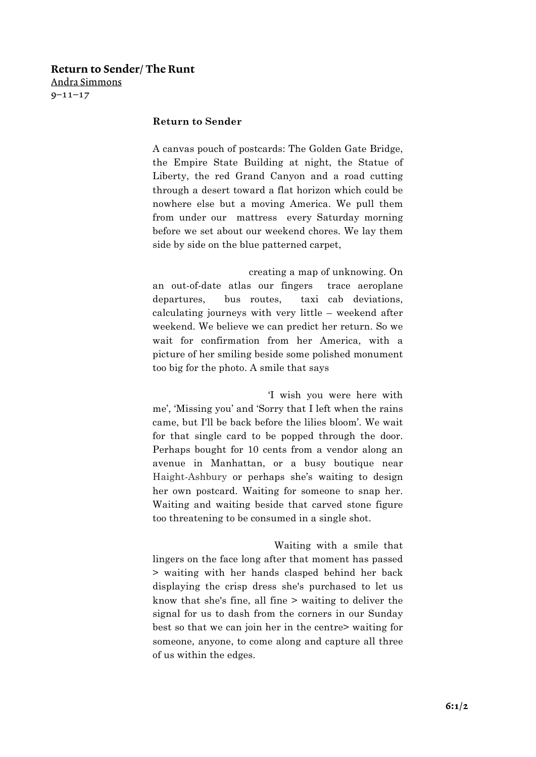# Return to Sender/ The Runt Andra Simmons

 $9 - 11 - 17$ 

## **Return to Sender**

A canvas pouch of postcards: The Golden Gate Bridge, the Empire State Building at night, the Statue of Liberty, the red Grand Canyon and a road cutting through a desert toward a flat horizon which could be nowhere else but a moving America. We pull them from under our mattress every Saturday morning before we set about our weekend chores. We lay them side by side on the blue patterned carpet,

 creating a map of unknowing. On an out-of-date atlas our fingers trace aeroplane departures, bus routes, taxi cab deviations, calculating journeys with very little – weekend after weekend. We believe we can predict her return. So we wait for confirmation from her America, with a picture of her smiling beside some polished monument too big for the photo. A smile that says

 'I wish you were here with me', 'Missing you' and 'Sorry that I left when the rains came, but I'll be back before the lilies bloom'. We wait for that single card to be popped through the door. Perhaps bought for 10 cents from a vendor along an avenue in Manhattan, or a busy boutique near Haight-Ashbury or perhaps she's waiting to design her own postcard. Waiting for someone to snap her. Waiting and waiting beside that carved stone figure too threatening to be consumed in a single shot.

 Waiting with a smile that lingers on the face long after that moment has passed > waiting with her hands clasped behind her back displaying the crisp dress she's purchased to let us know that she's fine, all fine > waiting to deliver the signal for us to dash from the corners in our Sunday best so that we can join her in the centre> waiting for someone, anyone, to come along and capture all three of us within the edges.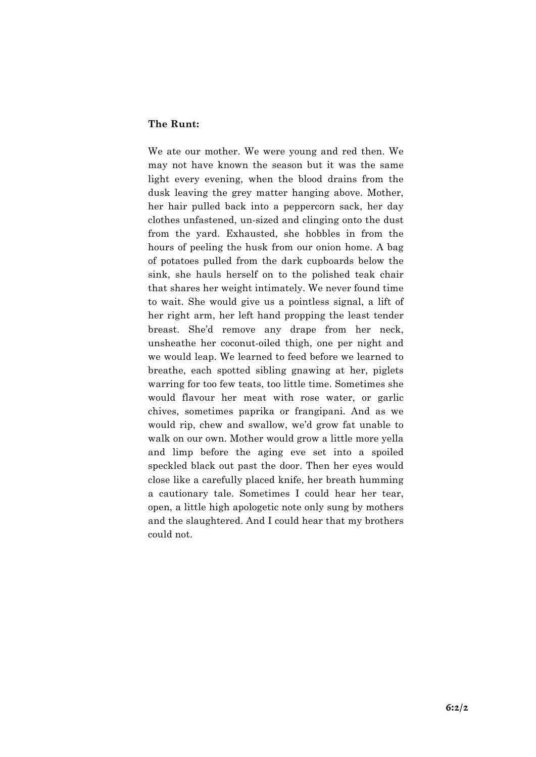## **The Runt:**

We ate our mother. We were young and red then. We may not have known the season but it was the same light every evening, when the blood drains from the dusk leaving the grey matter hanging above. Mother, her hair pulled back into a peppercorn sack, her day clothes unfastened, un-sized and clinging onto the dust from the yard. Exhausted, she hobbles in from the hours of peeling the husk from our onion home. A bag of potatoes pulled from the dark cupboards below the sink, she hauls herself on to the polished teak chair that shares her weight intimately. We never found time to wait. She would give us a pointless signal, a lift of her right arm, her left hand propping the least tender breast. She'd remove any drape from her neck, unsheathe her coconut-oiled thigh, one per night and we would leap. We learned to feed before we learned to breathe, each spotted sibling gnawing at her, piglets warring for too few teats, too little time. Sometimes she would flavour her meat with rose water, or garlic chives, sometimes paprika or frangipani. And as we would rip, chew and swallow, we'd grow fat unable to walk on our own. Mother would grow a little more yella and limp before the aging eve set into a spoiled speckled black out past the door. Then her eyes would close like a carefully placed knife, her breath humming a cautionary tale. Sometimes I could hear her tear, open, a little high apologetic note only sung by mothers and the slaughtered. And I could hear that my brothers could not.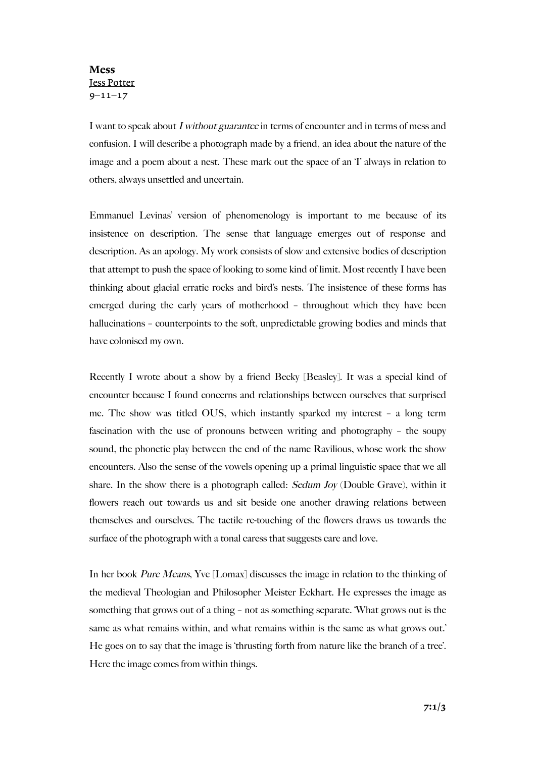## Mess Jess Potter  $9 - 11 - 17$

I want to speak about I without guarantee in terms of encounter and in terms of mess and confusion. I will describe a photograph made by a friend, an idea about the nature of the image and a poem about a nest. These mark out the space of an T always in relation to others, always unsettled and uncertain.

Emmanuel Levinas' version of phenomenology is important to me because of its insistence on description. The sense that language emerges out of response and description. As an apology. My work consists of slow and extensive bodies of description that attempt to push the space of looking to some kind of limit. Most recently I have been thinking about glacial erratic rocks and bird's nests. The insistence of these forms has emerged during the early years of motherhood – throughout which they have been hallucinations – counterpoints to the soft, unpredictable growing bodies and minds that have colonised my own.

Recently I wrote about a show by a friend Becky [Beasley]. It was a special kind of encounter because I found concerns and relationships between ourselves that surprised me. The show was titled OUS, which instantly sparked my interest – a long term fascination with the use of pronouns between writing and photography – the soupy sound, the phonetic play between the end of the name Ravilious, whose work the show encounters. Also the sense of the vowels opening up a primal linguistic space that we all share. In the show there is a photograph called: Sedum Joy (Double Grave), within it flowers reach out towards us and sit beside one another drawing relations between themselves and ourselves. The tactile re-touching of the flowers draws us towards the surface of the photograph with a tonal caress that suggests care and love.

In her book Pure Means, Yve [Lomax] discusses the image in relation to the thinking of the medieval Theologian and Philosopher Meister Eckhart. He expresses the image as something that grows out of a thing – not as something separate. 'What grows out is the same as what remains within, and what remains within is the same as what grows out.' He goes on to say that the image is 'thrusting forth from nature like the branch of a tree'. Here the image comes from within things.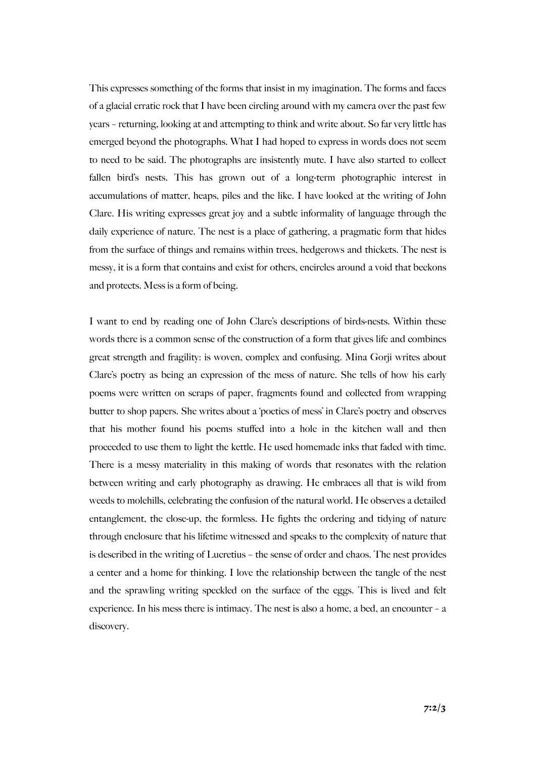This expresses something of the forms that insist in my imagination. The forms and faces of a glacial erratic rock that I have been circling around with my camera over the past few years – returning, looking at and attempting to think and write about. So far very little has emerged beyond the photographs. What I had hoped to express in words does not seem to need to be said. The photographs are insistently mute. I have also started to collect fallen bird's nests. This has grown out of a long-term photographic interest in accumulations of matter, heaps, piles and the like. I have looked at the writing of John Clare. His writing expresses great joy and a subtle informality of language through the daily experience of nature. The nest is a place of gathering, a pragmatic form that hides from the surface of things and remains within trees, hedgerows and thickets. The nest is messy, it is a form that contains and exist for others, encircles around a void that beckons and protects. Mess is a form of being.

I want to end by reading one of John Clare's descriptions of birds-nests. Within these words there is a common sense of the construction of a form that gives life and combines great strength and fragility: is woven, complex and confusing. Mina Gorji writes about Clare's poetry as being an expression of the mess of nature. She tells of how his early poems were written on scraps of paper, fragments found and collected from wrapping butter to shop papers. She writes about a 'poetics of mess' in Clare's poetry and observes that his mother found his poems stuffed into a hole in the kitchen wall and then proceeded to use them to light the kettle. He used homemade inks that faded with time. There is a messy materiality in this making of words that resonates with the relation between writing and early photography as drawing. He embraces all that is wild from weeds to molehills, celebrating the confusion of the natural world. He observes a detailed entanglement, the close-up, the formless. He fights the ordering and tidying of nature through enclosure that his lifetime witnessed and speaks to the complexity of nature that is described in the writing of Lucretius – the sense of order and chaos. The nest provides a center and a home for thinking. I love the relationship between the tangle of the nest and the sprawling writing speckled on the surface of the eggs. This is lived and felt experience. In his mess there is intimacy. The nest is also a home, a bed, an encounter – a discovery.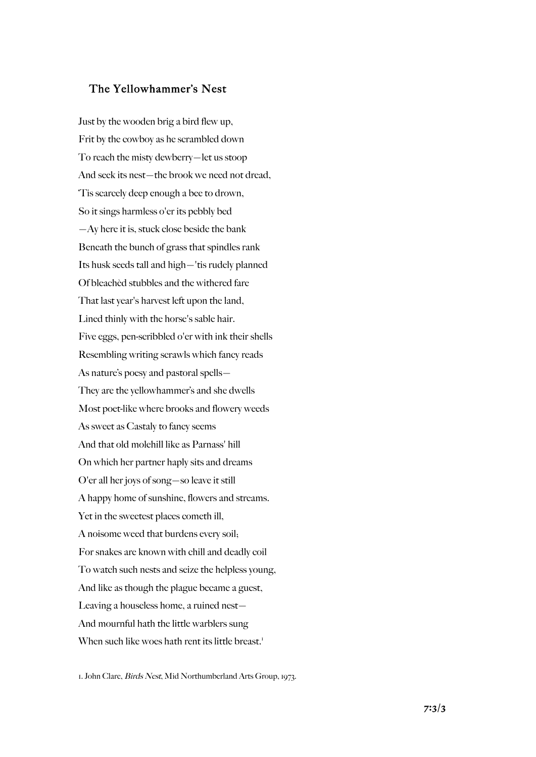# The Yellowhammer's Nest

Just by the wooden brig a bird flew up, Frit by the cowboy as he scrambled down To reach the misty dewberry—let us stoop And seek its nest—the brook we need not dread, 'Tis scarcely deep enough a bee to drown, So it sings harmless o'er its pebbly bed —Ay here it is, stuck close beside the bank Beneath the bunch of grass that spindles rank Its husk seeds tall and high—'tis rudely planned Of bleachèd stubbles and the withered fare That last year's harvest left upon the land, Lined thinly with the horse's sable hair. Five eggs, pen-scribbled o'er with ink their shells Resembling writing scrawls which fancy reads As nature's poesy and pastoral spells— They are the yellowhammer's and she dwells Most poet-like where brooks and flowery weeds As sweet as Castaly to fancy seems And that old molehill like as Parnass' hill On which her partner haply sits and dreams O'er all her joys of song—so leave it still A happy home of sunshine, flowers and streams. Yet in the sweetest places cometh ill, A noisome weed that burdens every soil; For snakes are known with chill and deadly coil To watch such nests and seize the helpless young, And like as though the plague became a guest, Leaving a houseless home, a ruined nest— And mournful hath the little warblers sung When such like woes hath rent its little breast.<sup>1</sup>

1. John Clare, Birds Nest, Mid Northumberland Arts Group, 1973.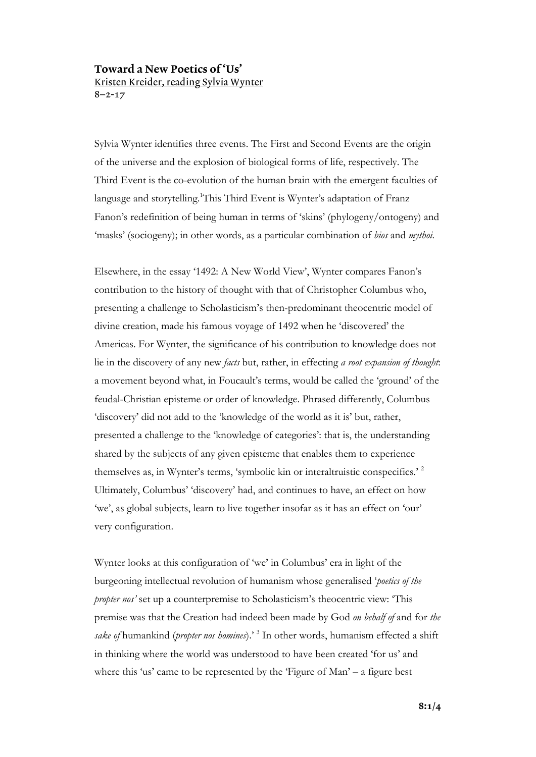# Toward a New Poetics of 'Us' Kristen Kreider, reading Sylvia Wynter 8–2-17

Sylvia Wynter identifies three events. The First and Second Events are the origin of the universe and the explosion of biological forms of life, respectively. The Third Event is the co-evolution of the human brain with the emergent faculties of language and storytelling.<sup>1</sup>This Third Event is Wynter's adaptation of Franz Fanon's redefinition of being human in terms of 'skins' (phylogeny/ontogeny) and 'masks' (sociogeny); in other words, as a particular combination of *bios* and *mythoi.* 

Elsewhere, in the essay '1492: A New World View', Wynter compares Fanon's contribution to the history of thought with that of Christopher Columbus who, presenting a challenge to Scholasticism's then-predominant theocentric model of divine creation, made his famous voyage of 1492 when he 'discovered' the Americas. For Wynter, the significance of his contribution to knowledge does not lie in the discovery of any new *facts* but, rather, in effecting *a root expansion of thought*: a movement beyond what, in Foucault's terms, would be called the 'ground' of the feudal-Christian episteme or order of knowledge. Phrased differently, Columbus 'discovery' did not add to the 'knowledge of the world as it is' but, rather, presented a challenge to the 'knowledge of categories': that is, the understanding shared by the subjects of any given episteme that enables them to experience themselves as, in Wynter's terms, 'symbolic kin or interaltruistic conspecifics.' <sup>2</sup> Ultimately, Columbus' 'discovery' had, and continues to have, an effect on how 'we', as global subjects, learn to live together insofar as it has an effect on 'our' very configuration.

Wynter looks at this configuration of 'we' in Columbus' era in light of the burgeoning intellectual revolution of humanism whose generalised '*poetics of the propter nos'* set up a counterpremise to Scholasticism's theocentric view: 'This premise was that the Creation had indeed been made by God *on behalf of* and for *the sake of* humankind (*propter nos homines*).' <sup>3</sup> In other words, humanism effected a shift in thinking where the world was understood to have been created 'for us' and where this 'us' came to be represented by the 'Figure of Man' – a figure best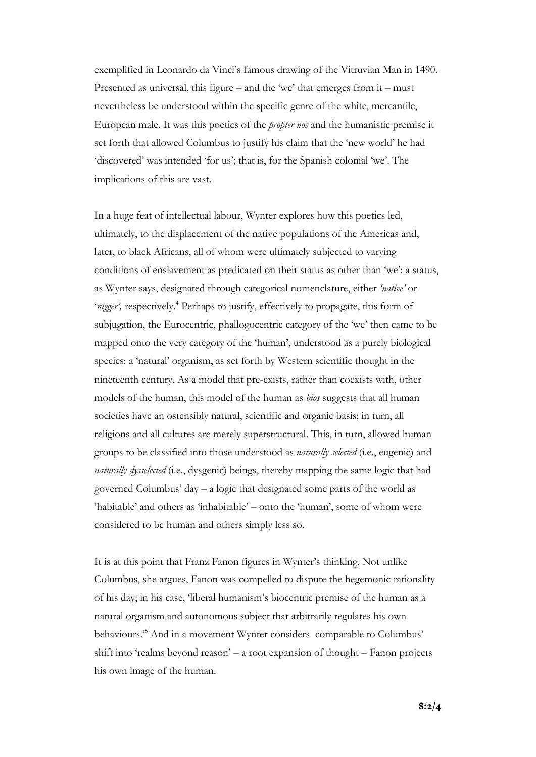exemplified in Leonardo da Vinci's famous drawing of the Vitruvian Man in 1490. Presented as universal, this figure – and the 'we' that emerges from it – must nevertheless be understood within the specific genre of the white, mercantile, European male. It was this poetics of the *propter nos* and the humanistic premise it set forth that allowed Columbus to justify his claim that the 'new world' he had 'discovered' was intended 'for us'; that is, for the Spanish colonial 'we'. The implications of this are vast.

In a huge feat of intellectual labour, Wynter explores how this poetics led, ultimately, to the displacement of the native populations of the Americas and, later, to black Africans, all of whom were ultimately subjected to varying conditions of enslavement as predicated on their status as other than 'we': a status, as Wynter says, designated through categorical nomenclature, either *'native'* or 'nigger', respectively.<sup>4</sup> Perhaps to justify, effectively to propagate, this form of subjugation, the Eurocentric, phallogocentric category of the 'we' then came to be mapped onto the very category of the 'human', understood as a purely biological species: a 'natural' organism, as set forth by Western scientific thought in the nineteenth century. As a model that pre-exists, rather than coexists with, other models of the human, this model of the human as *bios* suggests that all human societies have an ostensibly natural, scientific and organic basis; in turn, all religions and all cultures are merely superstructural. This, in turn, allowed human groups to be classified into those understood as *naturally selected* (i.e., eugenic) and *naturally dysselected* (i.e., dysgenic) beings, thereby mapping the same logic that had governed Columbus' day – a logic that designated some parts of the world as 'habitable' and others as 'inhabitable' – onto the 'human', some of whom were considered to be human and others simply less so.

It is at this point that Franz Fanon figures in Wynter's thinking. Not unlike Columbus, she argues, Fanon was compelled to dispute the hegemonic rationality of his day; in his case, 'liberal humanism's biocentric premise of the human as a natural organism and autonomous subject that arbitrarily regulates his own behaviours.' <sup>5</sup> And in a movement Wynter considers comparable to Columbus' shift into 'realms beyond reason' – a root expansion of thought – Fanon projects his own image of the human.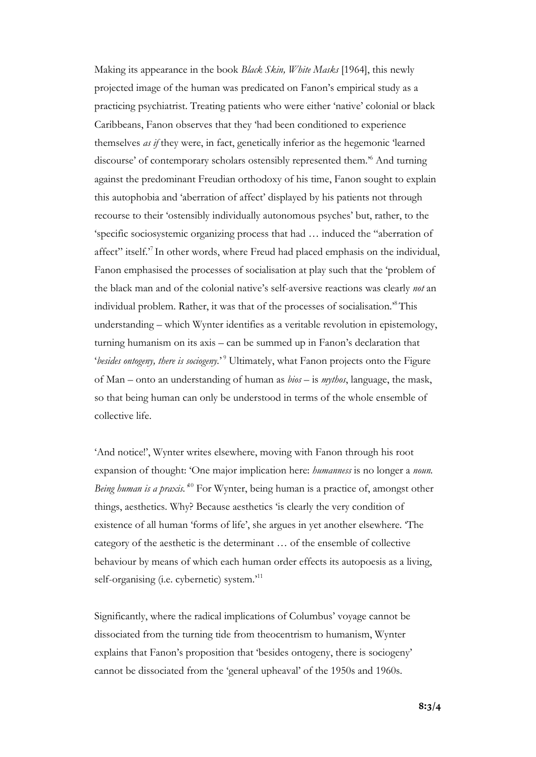Making its appearance in the book *Black Skin, White Masks* [1964], this newly projected image of the human was predicated on Fanon's empirical study as a practicing psychiatrist. Treating patients who were either 'native' colonial or black Caribbeans, Fanon observes that they 'had been conditioned to experience themselves *as if* they were, in fact, genetically inferior as the hegemonic 'learned discourse' of contemporary scholars ostensibly represented them.' <sup>6</sup> And turning against the predominant Freudian orthodoxy of his time, Fanon sought to explain this autophobia and 'aberration of affect' displayed by his patients not through recourse to their 'ostensibly individually autonomous psyches' but, rather, to the 'specific sociosystemic organizing process that had … induced the "aberration of affect" itself.<sup>7</sup> In other words, where Freud had placed emphasis on the individual, Fanon emphasised the processes of socialisation at play such that the 'problem of the black man and of the colonial native's self-aversive reactions was clearly *not* an individual problem. Rather, it was that of the processes of socialisation.' 8 This understanding – which Wynter identifies as a veritable revolution in epistemology, turning humanism on its axis – can be summed up in Fanon's declaration that 'besides ontogeny, there is sociogeny.'<sup>9</sup> Ultimately, what Fanon projects onto the Figure of Man – onto an understanding of human as *bios* – is *mythos*, language, the mask, so that being human can only be understood in terms of the whole ensemble of collective life.

'And notice!', Wynter writes elsewhere, moving with Fanon through his root expansion of thought: 'One major implication here: *humanness* is no longer a *noun.*  Being human is a praxis.<sup>40</sup> For Wynter, being human is a practice of, amongst other things, aesthetics. Why? Because aesthetics 'is clearly the very condition of existence of all human 'forms of life', she argues in yet another elsewhere. 'The category of the aesthetic is the determinant … of the ensemble of collective behaviour by means of which each human order effects its autopoesis as a living, self-organising (i.e. cybernetic) system.'<sup>11</sup>

Significantly, where the radical implications of Columbus' voyage cannot be dissociated from the turning tide from theocentrism to humanism, Wynter explains that Fanon's proposition that 'besides ontogeny, there is sociogeny' cannot be dissociated from the 'general upheaval' of the 1950s and 1960s.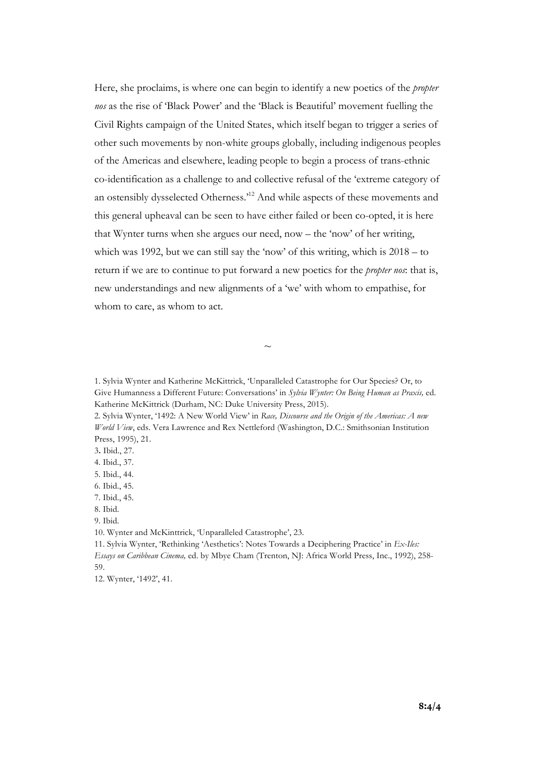Here, she proclaims, is where one can begin to identify a new poetics of the *propter nos* as the rise of 'Black Power' and the 'Black is Beautiful' movement fuelling the Civil Rights campaign of the United States, which itself began to trigger a series of other such movements by non-white groups globally, including indigenous peoples of the Americas and elsewhere, leading people to begin a process of trans-ethnic co-identification as a challenge to and collective refusal of the 'extreme category of an ostensibly dysselected Otherness.<sup>12</sup> And while aspects of these movements and this general upheaval can be seen to have either failed or been co-opted, it is here that Wynter turns when she argues our need, now – the 'now' of her writing, which was 1992, but we can still say the 'now' of this writing, which is  $2018 -$  to return if we are to continue to put forward a new poetics for the *propter nos*: that is, new understandings and new alignments of a 'we' with whom to empathise, for whom to care, as whom to act.

1. Sylvia Wynter and Katherine McKittrick, 'Unparalleled Catastrophe for Our Species? Or, to Give Humanness a Different Future: Conversations' in *Sylvia Wynter: On Being Human as Praxis,* ed. Katherine McKittrick (Durham, NC: Duke University Press, 2015).

 $\sim$ 

2. Sylvia Wynter, '1492: A New World View' in *Race, Discourse and the Origin of the Americas: A new World View*, eds. Vera Lawrence and Rex Nettleford (Washington, D.C.: Smithsonian Institution Press, 1995), 21.

3**.** Ibid., 27.

4. Ibid., 37.

5. Ibid., 44.

6. Ibid., 45.

7. Ibid., 45.

8. Ibid.

9. Ibid.

10. Wynter and McKinttrick, 'Unparalleled Catastrophe', 23.

11. Sylvia Wynter, 'Rethinking 'Aesthetics': Notes Towards a Deciphering Practice' in *Ex-Iles: Essays on Caribbean Cinema,* ed. by Mbye Cham (Trenton, NJ: Africa World Press, Inc., 1992), 258- 59.

12. Wynter, '1492', 41.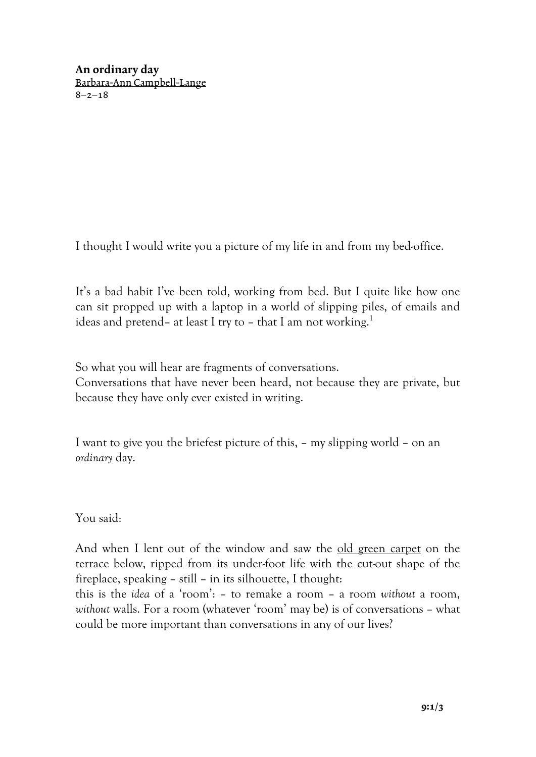An ordinary day Barbara-Ann Campbell-Lange  $8 - 2 - 18$ 

I thought I would write you a picture of my life in and from my bed-office.

It's a bad habit I've been told, working from bed. But I quite like how one can sit propped up with a laptop in a world of slipping piles, of emails and ideas and pretend– at least I try to – that I am not working.<sup>1</sup>

So what you will hear are fragments of conversations.

Conversations that have never been heard, not because they are private, but because they have only ever existed in writing.

I want to give you the briefest picture of this, – my slipping world – on an *ordinary* day.

You said:

And when I lent out of the window and saw the old green carpet on the terrace below, ripped from its under-foot life with the cut-out shape of the fireplace, speaking – still – in its silhouette, I thought:

this is the *idea* of a 'room': – to remake a room – a room *without* a room, *without* walls. For a room (whatever 'room' may be) is of conversations – what could be more important than conversations in any of our lives?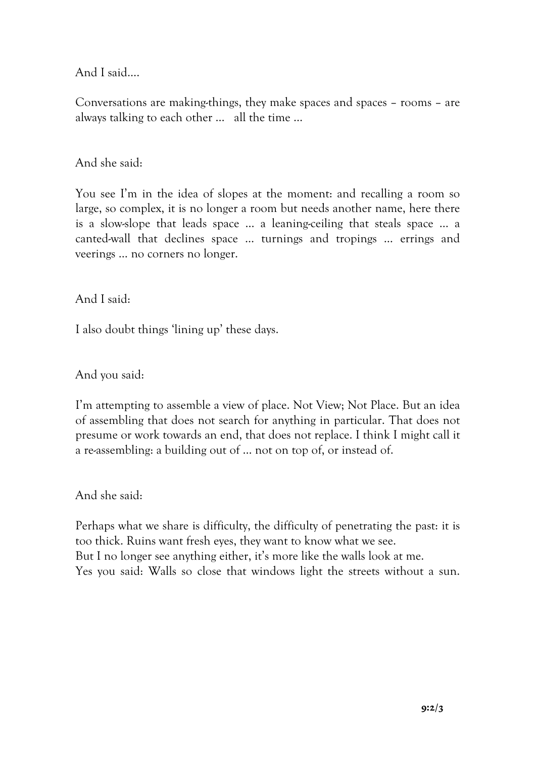And I said….

Conversations are making-things, they make spaces and spaces – rooms – are always talking to each other … all the time …

And she said:

You see I'm in the idea of slopes at the moment: and recalling a room so large, so complex, it is no longer a room but needs another name, here there is a slow-slope that leads space … a leaning-ceiling that steals space … a canted-wall that declines space … turnings and tropings … errings and veerings … no corners no longer.

And I said:

I also doubt things 'lining up' these days.

And you said:

I'm attempting to assemble a view of place. Not View; Not Place. But an idea of assembling that does not search for anything in particular. That does not presume or work towards an end, that does not replace. I think I might call it a re-assembling: a building out of … not on top of, or instead of.

And she said:

Perhaps what we share is difficulty, the difficulty of penetrating the past: it is too thick. Ruins want fresh eyes, they want to know what we see. But I no longer see anything either, it's more like the walls look at me. Yes you said: Walls so close that windows light the streets without a sun.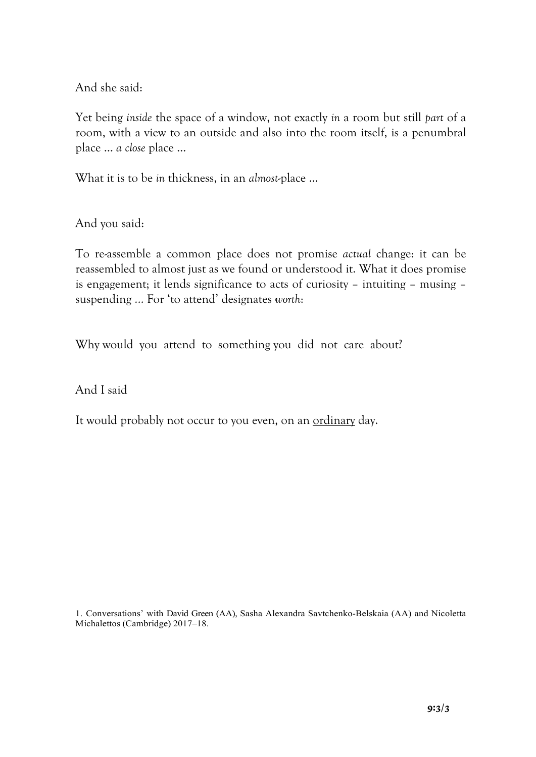And she said:

Yet being *inside* the space of a window, not exactly *in* a room but still *part* of a room, with a view to an outside and also into the room itself, is a penumbral place … *a close* place …

What it is to be *in* thickness, in an *almost*-place …

And you said:

To re-assemble a common place does not promise *actual* change: it can be reassembled to almost just as we found or understood it. What it does promise is engagement; it lends significance to acts of curiosity – intuiting – musing – suspending ... For 'to attend' designates *worth*:

Why would you attend to something you did not care about?

And I said

It would probably not occur to you even, on an ordinary day.

1. Conversations' with David Green (AA), Sasha Alexandra Savtchenko-Belskaia (AA) and Nicoletta Michalettos (Cambridge) 2017–18.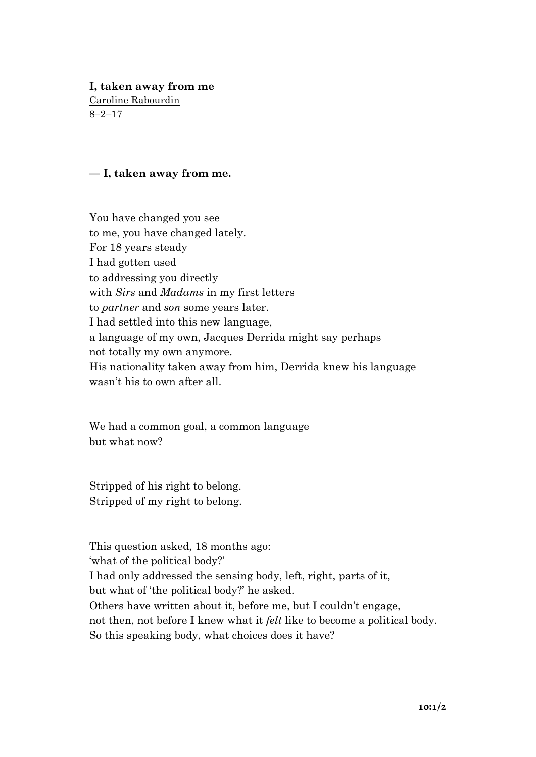# **I, taken away from me**

Caroline Rabourdin 8–2–17

# **— I, taken away from me.**

You have changed you see to me, you have changed lately. For 18 years steady I had gotten used to addressing you directly with *Sirs* and *Madams* in my first letters to *partner* and *son* some years later. I had settled into this new language, a language of my own, Jacques Derrida might say perhaps not totally my own anymore. His nationality taken away from him, Derrida knew his language wasn't his to own after all.

We had a common goal, a common language but what now?

Stripped of his right to belong. Stripped of my right to belong.

This question asked, 18 months ago: 'what of the political body?' I had only addressed the sensing body, left, right, parts of it, but what of 'the political body?' he asked. Others have written about it, before me, but I couldn't engage, not then, not before I knew what it *felt* like to become a political body. So this speaking body, what choices does it have?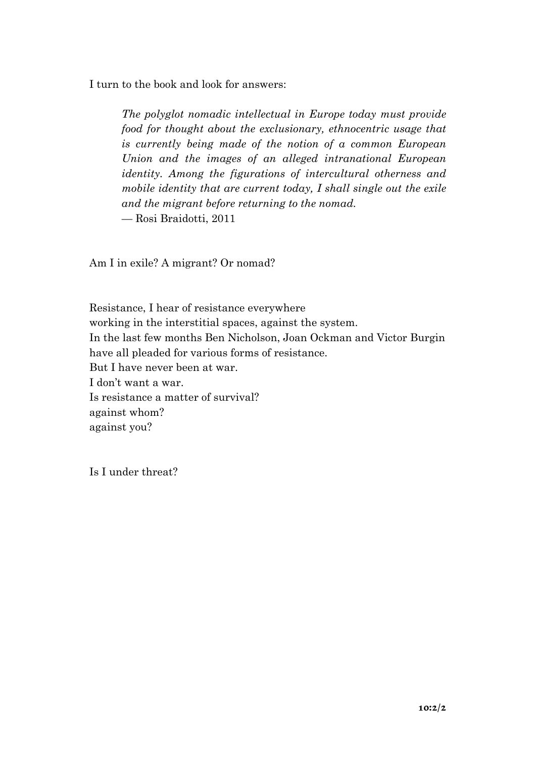I turn to the book and look for answers:

*The polyglot nomadic intellectual in Europe today must provide food for thought about the exclusionary, ethnocentric usage that is currently being made of the notion of a common European Union and the images of an alleged intranational European identity. Among the figurations of intercultural otherness and mobile identity that are current today, I shall single out the exile and the migrant before returning to the nomad.* — Rosi Braidotti, 2011

Am I in exile? A migrant? Or nomad?

Resistance, I hear of resistance everywhere working in the interstitial spaces, against the system. In the last few months Ben Nicholson, Joan Ockman and Victor Burgin have all pleaded for various forms of resistance. But I have never been at war. I don't want a war. Is resistance a matter of survival? against whom? against you?

Is I under threat?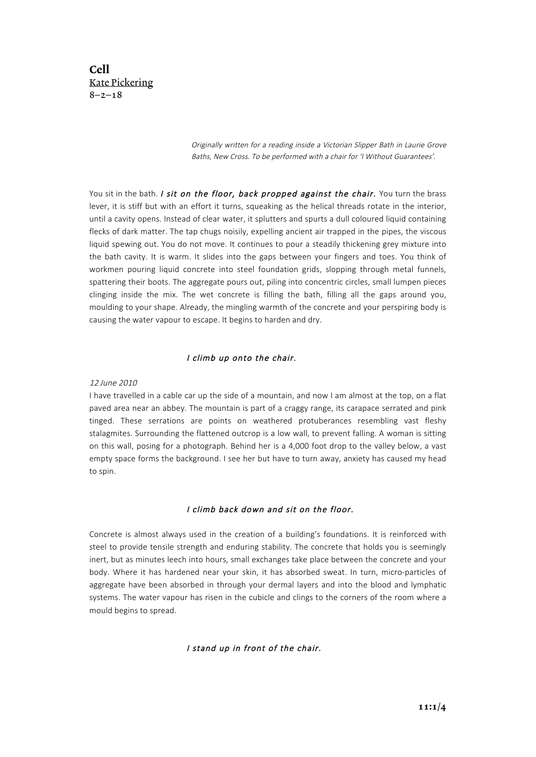Cell Kate Pickering  $8 - 2 - 18$ 

> Originally written for a reading inside a Victorian Slipper Bath in Laurie Grove Baths, New Cross. To be performed with a chair for 'I Without Guarantees'.

You sit in the bath. I sit on the floor, back propped against the chair. You turn the brass lever, it is stiff but with an effort it turns, squeaking as the helical threads rotate in the interior, until a cavity opens. Instead of clear water, it splutters and spurts a dull coloured liquid containing flecks of dark matter. The tap chugs noisily, expelling ancient air trapped in the pipes, the viscous liquid spewing out. You do not move. It continues to pour a steadily thickening grey mixture into the bath cavity. It is warm. It slides into the gaps between your fingers and toes. You think of workmen pouring liquid concrete into steel foundation grids, slopping through metal funnels, spattering their boots. The aggregate pours out, piling into concentric circles, small lumpen pieces clinging inside the mix. The wet concrete is filling the bath, filling all the gaps around you, moulding to your shape. Already, the mingling warmth of the concrete and your perspiring body is causing the water vapour to escape. It begins to harden and dry.

#### I climb up onto the chair.

#### 12 June 2010

I have travelled in a cable car up the side of a mountain, and now I am almost at the top, on a flat paved area near an abbey. The mountain is part of a craggy range, its carapace serrated and pink tinged. These serrations are points on weathered protuberances resembling vast fleshy stalagmites. Surrounding the flattened outcrop is a low wall, to prevent falling. A woman is sitting on this wall, posing for a photograph. Behind her is a 4,000 foot drop to the valley below, a vast empty space forms the background. I see her but have to turn away, anxiety has caused my head to spin.

#### I climb back down and sit on the floor.

Concrete is almost always used in the creation of a building's foundations. It is reinforced with steel to provide tensile strength and enduring stability. The concrete that holds you is seemingly inert, but as minutes leech into hours, small exchanges take place between the concrete and your body. Where it has hardened near your skin, it has absorbed sweat. In turn, micro-particles of aggregate have been absorbed in through your dermal layers and into the blood and lymphatic systems. The water vapour has risen in the cubicle and clings to the corners of the room where a mould begins to spread.

#### I stand up in front of the chair.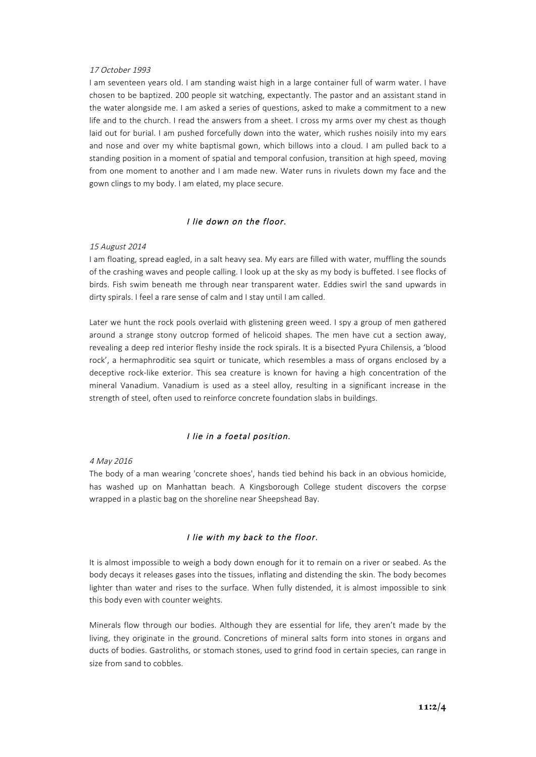#### 17 October 1993

I am seventeen years old. I am standing waist high in a large container full of warm water. I have chosen to be baptized. 200 people sit watching, expectantly. The pastor and an assistant stand in the water alongside me. I am asked a series of questions, asked to make a commitment to a new life and to the church. I read the answers from a sheet. I cross my arms over my chest as though laid out for burial. I am pushed forcefully down into the water, which rushes noisily into my ears and nose and over my white baptismal gown, which billows into a cloud. I am pulled back to a standing position in a moment of spatial and temporal confusion, transition at high speed, moving from one moment to another and I am made new. Water runs in rivulets down my face and the gown clings to my body. I am elated, my place secure.

#### I lie down on the floor.

#### 15 August 2014

I am floating, spread eagled, in a salt heavy sea. My ears are filled with water, muffling the sounds of the crashing waves and people calling. I look up at the sky as my body is buffeted. I see flocks of birds. Fish swim beneath me through near transparent water. Eddies swirl the sand upwards in dirty spirals. I feel a rare sense of calm and I stay until I am called.

Later we hunt the rock pools overlaid with glistening green weed. I spy a group of men gathered around a strange stony outcrop formed of helicoid shapes. The men have cut a section away, revealing a deep red interior fleshy inside the rock spirals. It is a bisected Pyura Chilensis, a 'blood rock', a hermaphroditic sea squirt or tunicate, which resembles a mass of organs enclosed by a deceptive rock-like exterior. This sea creature is known for having a high concentration of the mineral Vanadium. Vanadium is used as a steel alloy, resulting in a significant increase in the strength of steel, often used to reinforce concrete foundation slabs in buildings.

#### I lie in a foetal position.

4 May 2016

The body of a man wearing 'concrete shoes', hands tied behind his back in an obvious homicide, has washed up on Manhattan beach. A Kingsborough College student discovers the corpse wrapped in a plastic bag on the shoreline near Sheepshead Bay.

#### I lie with my back to the floor.

It is almost impossible to weigh a body down enough for it to remain on a river or seabed. As the body decays it releases gases into the tissues, inflating and distending the skin. The body becomes lighter than water and rises to the surface. When fully distended, it is almost impossible to sink this body even with counter weights.

Minerals flow through our bodies. Although they are essential for life, they aren't made by the living, they originate in the ground. Concretions of mineral salts form into stones in organs and ducts of bodies. Gastroliths, or stomach stones, used to grind food in certain species, can range in size from sand to cobbles.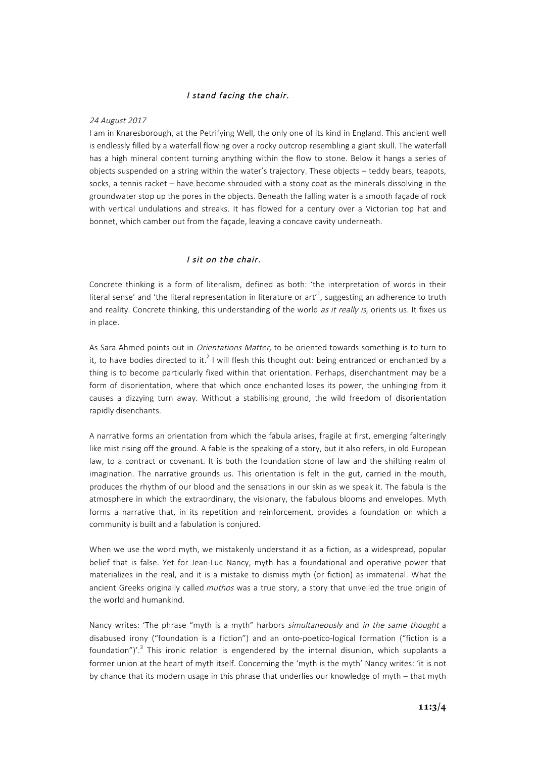#### I stand facing the chair.

#### 24 August 2017

I am in Knaresborough, at the Petrifying Well, the only one of its kind in England. This ancient well is endlessly filled by a waterfall flowing over a rocky outcrop resembling a giant skull. The waterfall has a high mineral content turning anything within the flow to stone. Below it hangs a series of objects suspended on a string within the water's trajectory. These objects – teddy bears, teapots, socks, a tennis racket – have become shrouded with a stony coat as the minerals dissolving in the groundwater stop up the pores in the objects. Beneath the falling water is a smooth façade of rock with vertical undulations and streaks. It has flowed for a century over a Victorian top hat and bonnet, which camber out from the façade, leaving a concave cavity underneath.

#### I sit on the chair.

Concrete thinking is a form of literalism, defined as both: 'the interpretation of words in their literal sense' and 'the literal representation in literature or art'<sup>1</sup>, suggesting an adherence to truth and reality. Concrete thinking, this understanding of the world as it really is, orients us. It fixes us in place.

As Sara Ahmed points out in *Orientations Matter,* to be oriented towards something is to turn to it. to have bodies directed to it.<sup>2</sup> I will flesh this thought out: being entranced or enchanted by a thing is to become particularly fixed within that orientation. Perhaps, disenchantment may be a form of disorientation, where that which once enchanted loses its power, the unhinging from it causes a dizzying turn away. Without a stabilising ground, the wild freedom of disorientation rapidly disenchants.

A narrative forms an orientation from which the fabula arises, fragile at first, emerging falteringly like mist rising off the ground. A fable is the speaking of a story, but it also refers, in old European law, to a contract or covenant. It is both the foundation stone of law and the shifting realm of imagination. The narrative grounds us. This orientation is felt in the gut, carried in the mouth, produces the rhythm of our blood and the sensations in our skin as we speak it. The fabula is the atmosphere in which the extraordinary, the visionary, the fabulous blooms and envelopes. Myth forms a narrative that, in its repetition and reinforcement, provides a foundation on which a community is built and a fabulation is conjured.

When we use the word myth, we mistakenly understand it as a fiction, as a widespread, popular belief that is false. Yet for Jean-Luc Nancy, myth has a foundational and operative power that materializes in the real, and it is a mistake to dismiss myth (or fiction) as immaterial. What the ancient Greeks originally called muthos was a true story, a story that unveiled the true origin of the world and humankind.

Nancy writes: 'The phrase "myth is a myth" harbors simultaneously and in the same thought a disabused irony ("foundation is a fiction") and an onto-poetico-logical formation ("fiction is a foundation")'.<sup>3</sup> This ironic relation is engendered by the internal disunion, which supplants a former union at the heart of myth itself. Concerning the 'myth is the myth' Nancy writes: 'it is not by chance that its modern usage in this phrase that underlies our knowledge of myth – that myth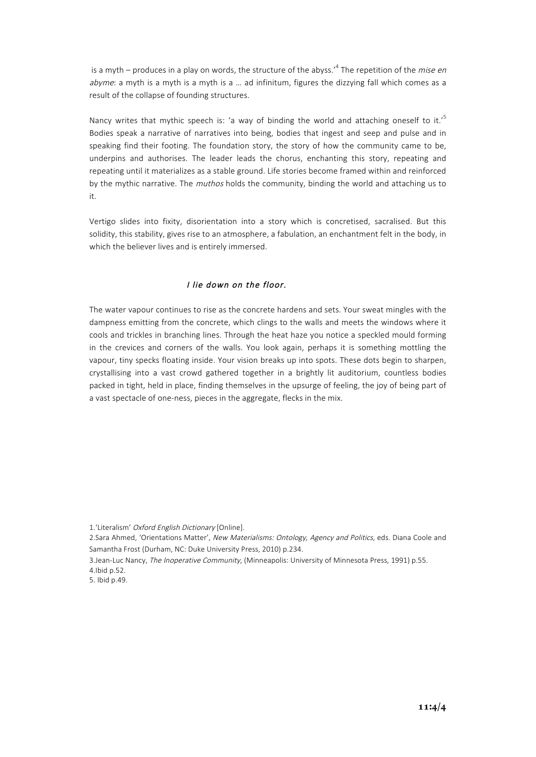is a myth – produces in a play on words, the structure of the abyss.<sup> $4$ </sup> The repetition of the *mise en* abyme: a myth is a myth is a myth is a ... ad infinitum, figures the dizzying fall which comes as a result of the collapse of founding structures.

Nancy writes that mythic speech is: 'a way of binding the world and attaching oneself to it.'<sup>5</sup> Bodies speak a narrative of narratives into being, bodies that ingest and seep and pulse and in speaking find their footing. The foundation story, the story of how the community came to be, underpins and authorises. The leader leads the chorus, enchanting this story, repeating and repeating until it materializes as a stable ground. Life stories become framed within and reinforced by the mythic narrative. The *muthos* holds the community, binding the world and attaching us to it.

Vertigo slides into fixity, disorientation into a story which is concretised, sacralised. But this solidity, this stability, gives rise to an atmosphere, a fabulation, an enchantment felt in the body, in which the believer lives and is entirely immersed.

## I lie down on the floor.

The water vapour continues to rise as the concrete hardens and sets. Your sweat mingles with the dampness emitting from the concrete, which clings to the walls and meets the windows where it cools and trickles in branching lines. Through the heat haze you notice a speckled mould forming in the crevices and corners of the walls. You look again, perhaps it is something mottling the vapour, tiny specks floating inside. Your vision breaks up into spots. These dots begin to sharpen, crystallising into a vast crowd gathered together in a brightly lit auditorium, countless bodies packed in tight, held in place, finding themselves in the upsurge of feeling, the joy of being part of a vast spectacle of one-ness, pieces in the aggregate, flecks in the mix.

2.Sara Ahmed, 'Orientations Matter', New Materialisms: Ontology, Agency and Politics, eds. Diana Coole and Samantha Frost (Durham, NC: Duke University Press, 2010) p.234.

<sup>1.&#</sup>x27;Literalism' Oxford English Dictionary [Online].

<sup>3.</sup>Jean-Luc Nancy, The Inoperative Community, (Minneapolis: University of Minnesota Press, 1991) p.55. 4.Ibid p.52.

<sup>5.</sup> Ibid p.49.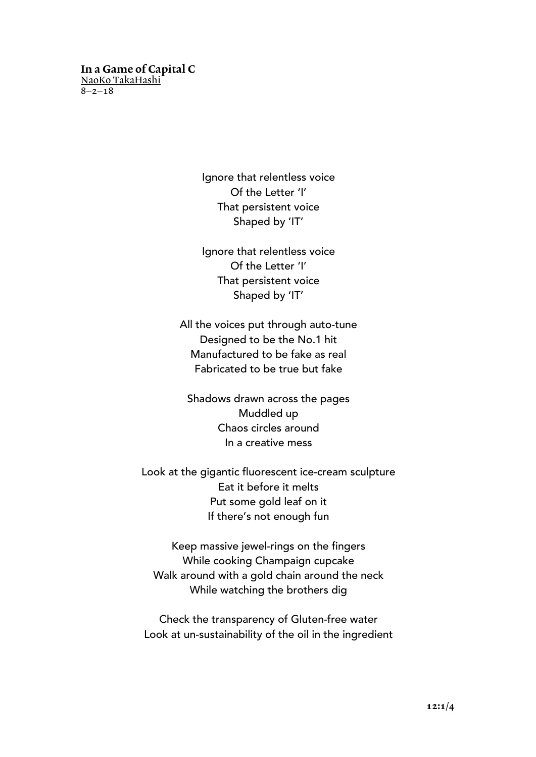# In a Game of Capital C NaoKo TakaHashi

 $8 - 2 - 18$ 

Ignore that relentless voice Of the Letter 'I' That persistent voice Shaped by 'IT'

Ignore that relentless voice Of the Letter 'I' That persistent voice Shaped by 'IT'

All the voices put through auto-tune Designed to be the No.1 hit Manufactured to be fake as real Fabricated to be true but fake

Shadows drawn across the pages Muddled up Chaos circles around In a creative mess

Look at the gigantic fluorescent ice-cream sculpture Eat it before it melts Put some gold leaf on it If there's not enough fun

Keep massive jewel-rings on the fingers While cooking Champaign cupcake Walk around with a gold chain around the neck While watching the brothers dig

Check the transparency of Gluten-free water Look at un-sustainability of the oil in the ingredient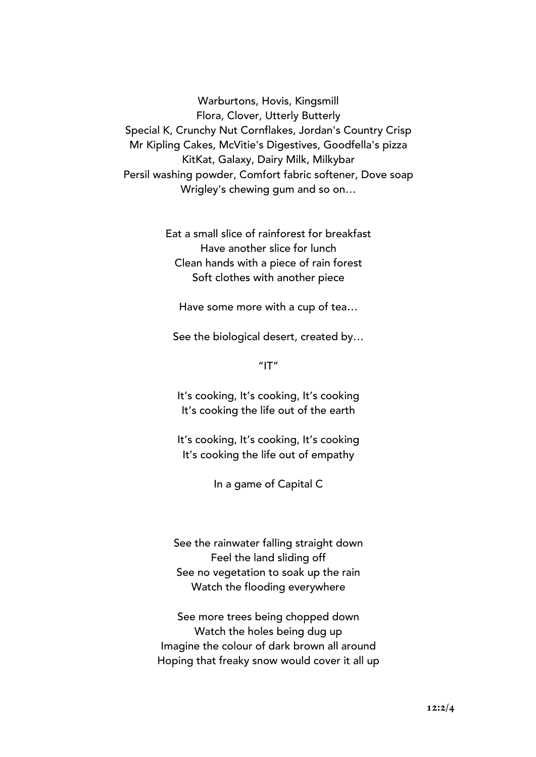Warburtons, Hovis, Kingsmill Flora, Clover, Utterly Butterly Special K, Crunchy Nut Cornflakes, Jordan's Country Crisp Mr Kipling Cakes, McVitie's Digestives, Goodfella's pizza KitKat, Galaxy, Dairy Milk, Milkybar Persil washing powder, Comfort fabric softener, Dove soap Wrigley's chewing gum and so on…

> Eat a small slice of rainforest for breakfast Have another slice for lunch Clean hands with a piece of rain forest Soft clothes with another piece

Have some more with a cup of tea…

See the biological desert, created by…

 $"$ IT"

It's cooking, It's cooking, It's cooking It's cooking the life out of the earth

It's cooking, It's cooking, It's cooking It's cooking the life out of empathy

In a game of Capital C

See the rainwater falling straight down Feel the land sliding off See no vegetation to soak up the rain Watch the flooding everywhere

See more trees being chopped down Watch the holes being dug up Imagine the colour of dark brown all around Hoping that freaky snow would cover it all up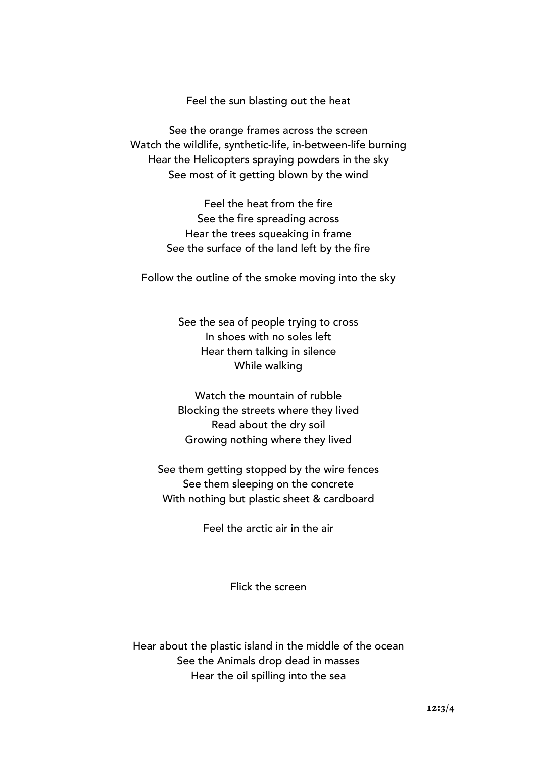Feel the sun blasting out the heat

See the orange frames across the screen Watch the wildlife, synthetic-life, in-between-life burning Hear the Helicopters spraying powders in the sky See most of it getting blown by the wind

> Feel the heat from the fire See the fire spreading across Hear the trees squeaking in frame See the surface of the land left by the fire

Follow the outline of the smoke moving into the sky

See the sea of people trying to cross In shoes with no soles left Hear them talking in silence While walking

Watch the mountain of rubble Blocking the streets where they lived Read about the dry soil Growing nothing where they lived

See them getting stopped by the wire fences See them sleeping on the concrete With nothing but plastic sheet & cardboard

Feel the arctic air in the air

Flick the screen

Hear about the plastic island in the middle of the ocean See the Animals drop dead in masses Hear the oil spilling into the sea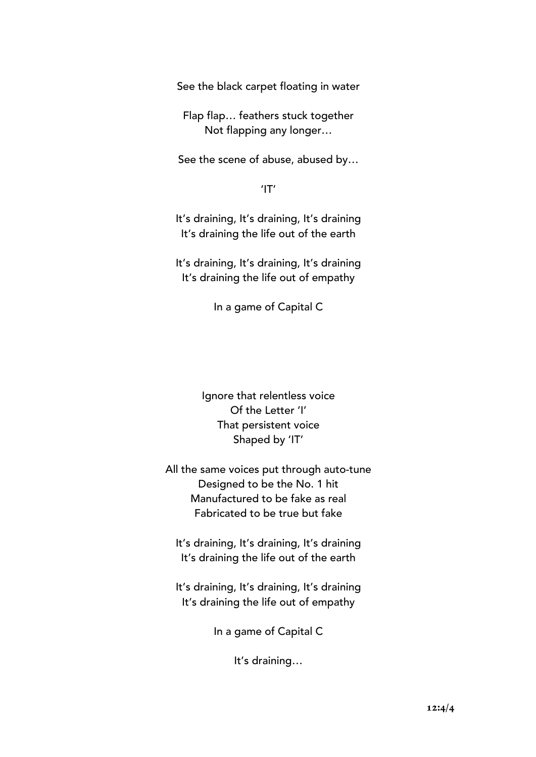See the black carpet floating in water

Flap flap… feathers stuck together Not flapping any longer…

See the scene of abuse, abused by…

'IT'

It's draining, It's draining, It's draining It's draining the life out of the earth

It's draining, It's draining, It's draining It's draining the life out of empathy

In a game of Capital C

Ignore that relentless voice Of the Letter 'I' That persistent voice Shaped by 'IT'

All the same voices put through auto-tune Designed to be the No. 1 hit Manufactured to be fake as real Fabricated to be true but fake

It's draining, It's draining, It's draining It's draining the life out of the earth

It's draining, It's draining, It's draining It's draining the life out of empathy

In a game of Capital C

It's draining…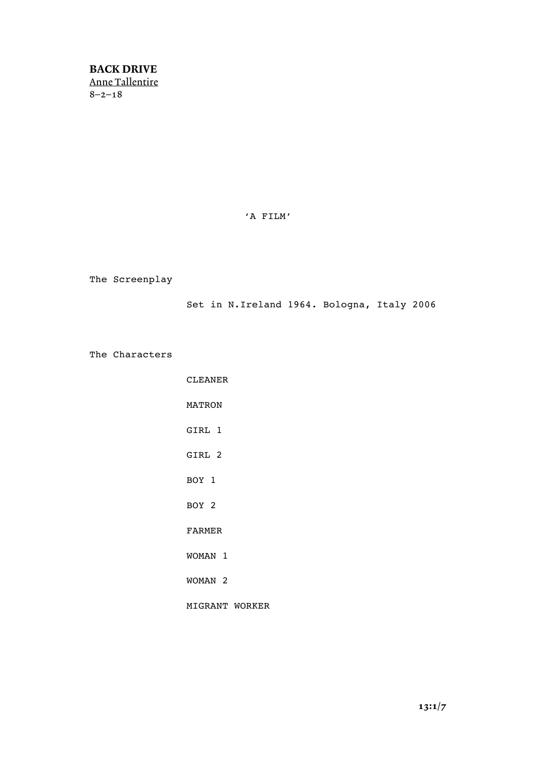BACK DRIVE Anne Tallentire 8–2–18

'A FILM'

The Screenplay

Set in N.Ireland 1964. Bologna, Italy 2006

The Characters

CLEANER MATRON GIRL 1 GIRL 2 BOY 1 BOY 2 FARMER WOMAN 1 WOMAN 2 MIGRANT WORKER

13:1/7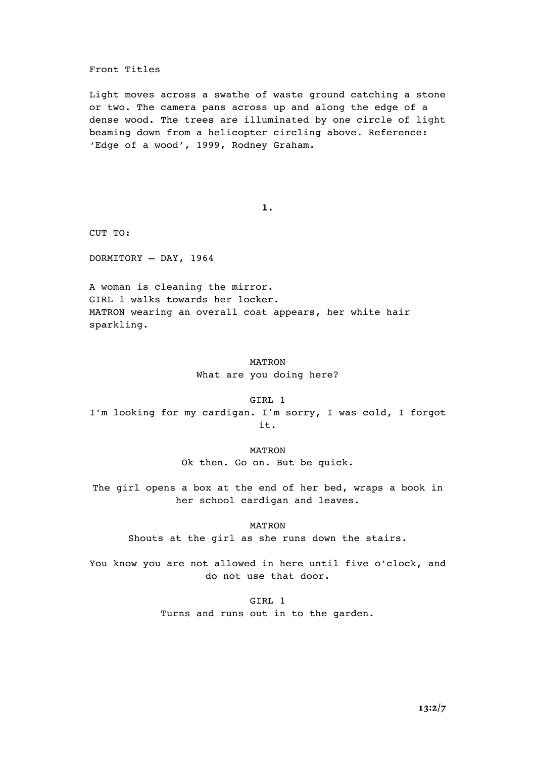#### Front Titles

Light moves across a swathe of waste ground catching a stone or two. The camera pans across up and along the edge of a dense wood. The trees are illuminated by one circle of light beaming down from a helicopter circling above. Reference: 'Edge of a wood', 1999, Rodney Graham.

**1.**

CUT TO:

DORMITORY – DAY, 1964

A woman is cleaning the mirror. GIRL 1 walks towards her locker. MATRON wearing an overall coat appears, her white hair sparkling.

#### MATRON

What are you doing here?

GIRL 1 I'm looking for my cardigan. I'm sorry, I was cold, I forgot it.

#### MATRON

Ok then. Go on. But be quick.

The girl opens a box at the end of her bed, wraps a book in her school cardigan and leaves.

MATRON

Shouts at the girl as she runs down the stairs.

You know you are not allowed in here until five o'clock, and do not use that door.

> GIRL 1 Turns and runs out in to the garden.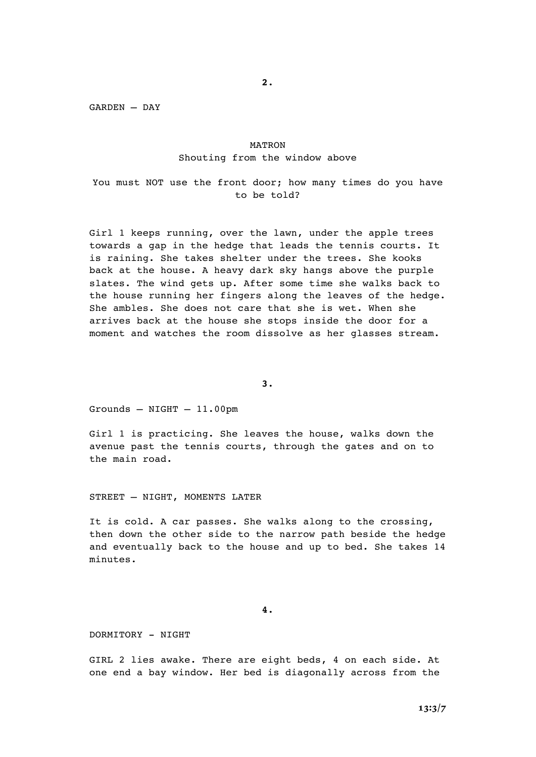**2.**

GARDEN – DAY

#### MATRON Shouting from the window above

You must NOT use the front door; how many times do you have to be told?

Girl 1 keeps running, over the lawn, under the apple trees towards a gap in the hedge that leads the tennis courts. It is raining. She takes shelter under the trees. She kooks back at the house. A heavy dark sky hangs above the purple slates. The wind gets up. After some time she walks back to the house running her fingers along the leaves of the hedge. She ambles. She does not care that she is wet. When she arrives back at the house she stops inside the door for a moment and watches the room dissolve as her glasses stream.

**3.**

Grounds – NIGHT – 11.00pm

Girl 1 is practicing. She leaves the house, walks down the avenue past the tennis courts, through the gates and on to the main road.

STREET – NIGHT, MOMENTS LATER

It is cold. A car passes. She walks along to the crossing, then down the other side to the narrow path beside the hedge and eventually back to the house and up to bed. She takes 14 minutes.

**4.**

DORMITORY - NIGHT

GIRL 2 lies awake. There are eight beds, 4 on each side. At one end a bay window. Her bed is diagonally across from the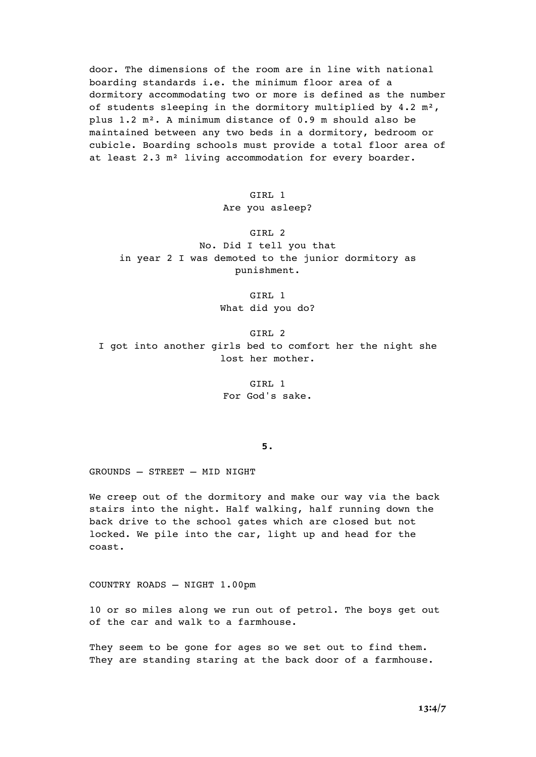door. The dimensions of the room are in line with national boarding standards i.e. the minimum floor area of a dormitory accommodating two or more is defined as the number of students sleeping in the dormitory multiplied by 4.2 m<sup>2</sup>, plus 1.2 m². A minimum distance of 0.9 m should also be maintained between any two beds in a dormitory, bedroom or cubicle. Boarding schools must provide a total floor area of at least 2.3 m² living accommodation for every boarder.

GTRL 1

#### Are you asleep?

GIRL 2 No. Did I tell you that in year 2 I was demoted to the junior dormitory as punishment.

> GIRL 1 What did you do?

GIRL 2 I got into another girls bed to comfort her the night she lost her mother.

> GIRL 1 For God's sake.

#### **5.**

GROUNDS – STREET – MID NIGHT

We creep out of the dormitory and make our way via the back stairs into the night. Half walking, half running down the back drive to the school gates which are closed but not locked. We pile into the car, light up and head for the coast.

COUNTRY ROADS – NIGHT 1.00pm

10 or so miles along we run out of petrol. The boys get out of the car and walk to a farmhouse.

They seem to be gone for ages so we set out to find them. They are standing staring at the back door of a farmhouse.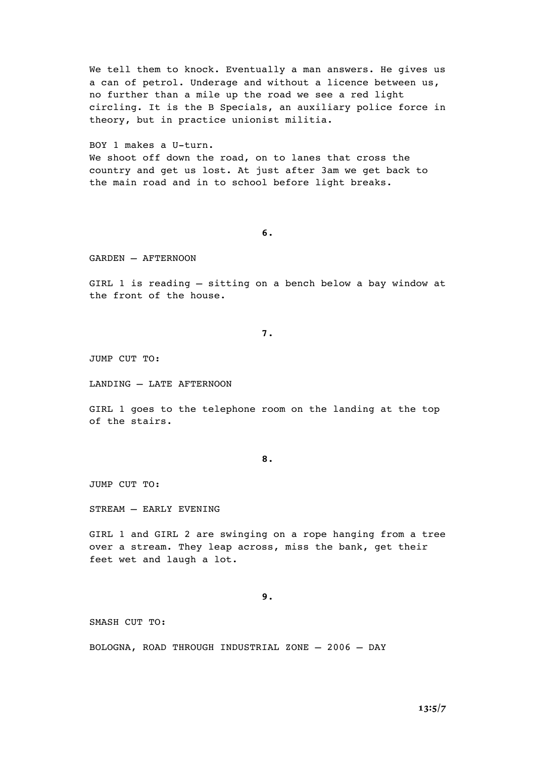We tell them to knock. Eventually a man answers. He gives us a can of petrol. Underage and without a licence between us, no further than a mile up the road we see a red light circling. It is the B Specials, an auxiliary police force in theory, but in practice unionist militia.

BOY 1 makes a U-turn. We shoot off down the road, on to lanes that cross the country and get us lost. At just after 3am we get back to the main road and in to school before light breaks.

**6.**

GARDEN – AFTERNOON

GIRL 1 is reading – sitting on a bench below a bay window at the front of the house.

**7.**

JUMP CUT TO:

LANDING – LATE AFTERNOON

GIRL 1 goes to the telephone room on the landing at the top of the stairs.

**8.**

JUMP CUT TO:

STREAM – EARLY EVENING

GIRL 1 and GIRL 2 are swinging on a rope hanging from a tree over a stream. They leap across, miss the bank, get their feet wet and laugh a lot.

**9.**

SMASH CUT TO:

BOLOGNA, ROAD THROUGH INDUSTRIAL ZONE – 2006 – DAY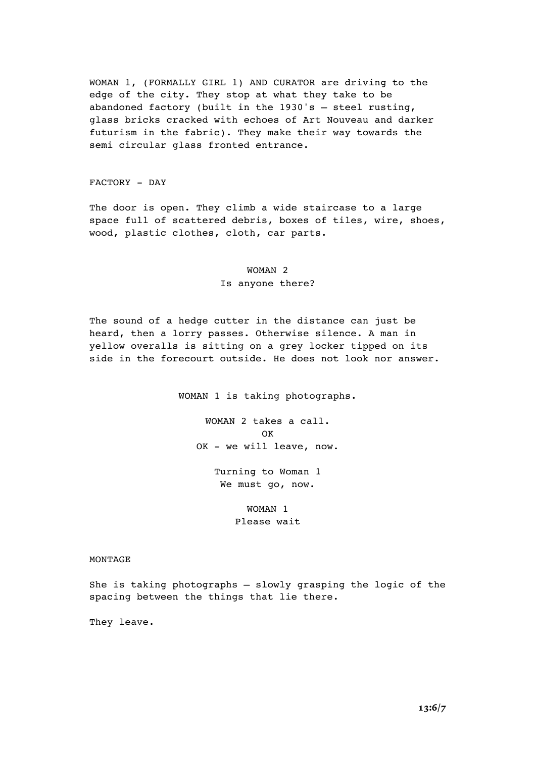WOMAN 1, (FORMALLY GIRL 1) AND CURATOR are driving to the edge of the city. They stop at what they take to be abandoned factory (built in the 1930's – steel rusting, glass bricks cracked with echoes of Art Nouveau and darker futurism in the fabric). They make their way towards the semi circular glass fronted entrance.

FACTORY - DAY

The door is open. They climb a wide staircase to a large space full of scattered debris, boxes of tiles, wire, shoes, wood, plastic clothes, cloth, car parts.

## WOMAN 2 Is anyone there?

The sound of a hedge cutter in the distance can just be heard, then a lorry passes. Otherwise silence. A man in yellow overalls is sitting on a grey locker tipped on its side in the forecourt outside. He does not look nor answer.

WOMAN 1 is taking photographs.

WOMAN 2 takes a call. **OK** OK - we will leave, now.

> Turning to Woman 1 We must go, now.

> > WOMAN 1 Please wait

#### MONTAGE

She is taking photographs – slowly grasping the logic of the spacing between the things that lie there.

They leave.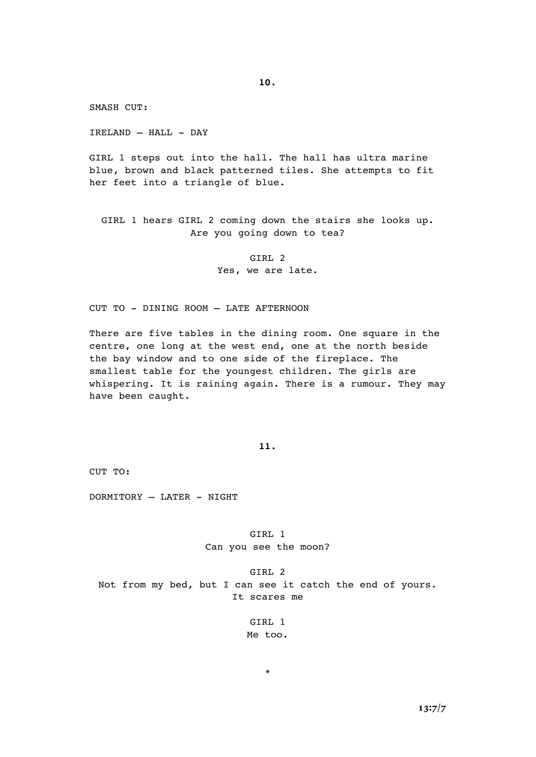**10.**

SMASH CUT:

IRELAND – HALL - DAY

GIRL 1 steps out into the hall. The hall has ultra marine blue, brown and black patterned tiles. She attempts to fit her feet into a triangle of blue.

GIRL 1 hears GIRL 2 coming down the stairs she looks up. Are you going down to tea?

> GIRL 2 Yes, we are late.

CUT TO - DINING ROOM – LATE AFTERNOON

There are five tables in the dining room. One square in the centre, one long at the west end, one at the north beside the bay window and to one side of the fireplace. The smallest table for the youngest children. The girls are whispering. It is raining again. There is a rumour. They may have been caught.

**11.**

CUT TO:

DORMITORY – LATER - NIGHT

GIRL 1 Can you see the moon?

GIRL 2 Not from my bed, but I can see it catch the end of yours. It scares me

> GIRL 1 Me too.